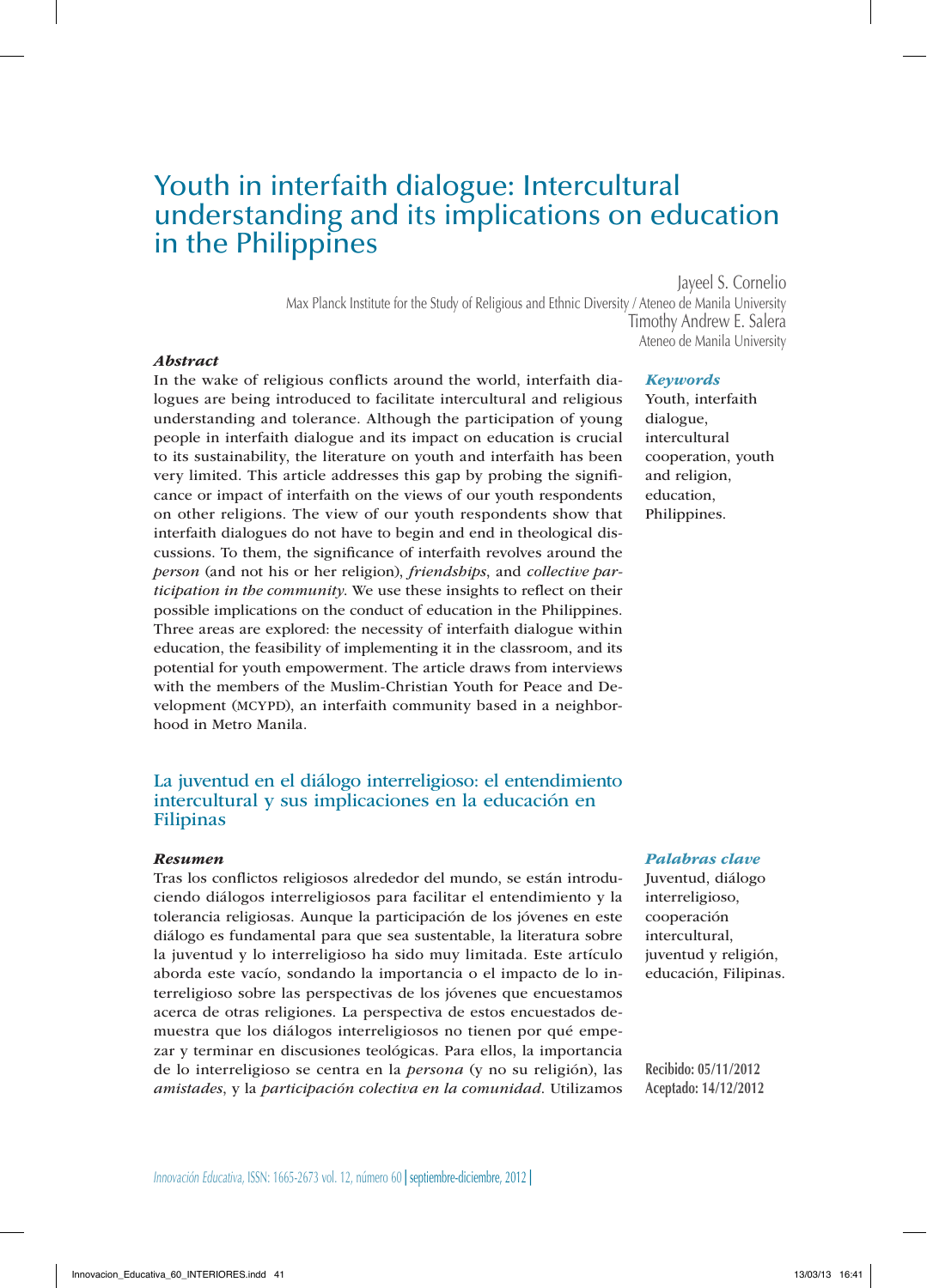# Youth in interfaith dialogue: Intercultural understanding and its implications on education in the Philippines

Jayeel S. Cornelio

Max Planck Institute for the Study of Religious and Ethnic Diversity / Ateneo de Manila University Timothy Andrew E. Salera Ateneo de Manila University

### *Abstract*

In the wake of religious conflicts around the world, interfaith dialogues are being introduced to facilitate intercultural and religious understanding and tolerance. Although the participation of young people in interfaith dialogue and its impact on education is crucial to its sustainability, the literature on youth and interfaith has been very limited. This article addresses this gap by probing the significance or impact of interfaith on the views of our youth respondents on other religions. The view of our youth respondents show that interfaith dialogues do not have to begin and end in theological discussions. To them, the significance of interfaith revolves around the *person* (and not his or her religion), *friendships*, and *collective participation in the community*. We use these insights to reflect on their possible implications on the conduct of education in the Philippines. Three areas are explored: the necessity of interfaith dialogue within education, the feasibility of implementing it in the classroom, and its potential for youth empowerment. The article draws from interviews with the members of the Muslim-Christian Youth for Peace and Development (MCYPD), an interfaith community based in a neighborhood in Metro Manila.

# La juventud en el diálogo interreligioso: el entendimiento intercultural y sus implicaciones en la educación en Filipinas

#### *Resumen*

Tras los conflictos religiosos alrededor del mundo, se están introduciendo diálogos interreligiosos para facilitar el entendimiento y la tolerancia religiosas. Aunque la participación de los jóvenes en este diálogo es fundamental para que sea sustentable, la literatura sobre la juventud y lo interreligioso ha sido muy limitada. Este artículo aborda este vacío, sondando la importancia o el impacto de lo interreligioso sobre las perspectivas de los jóvenes que encuestamos acerca de otras religiones. La perspectiva de estos encuestados demuestra que los diálogos interreligiosos no tienen por qué empezar y terminar en discusiones teológicas. Para ellos, la importancia de lo interreligioso se centra en la *persona* (y no su religión), las *amistades*, y la *participación colectiva en la comunidad*. Utilizamos

#### *Keywords*

Youth, interfaith dialogue, intercultural cooperation, youth and religion, education, Philippines.

#### *Palabras clave*

Juventud, diálogo interreligioso, cooperación intercultural, juventud y religión, educación, Filipinas.

**Recibido: 05/11/2012 Aceptado: 14/12/2012**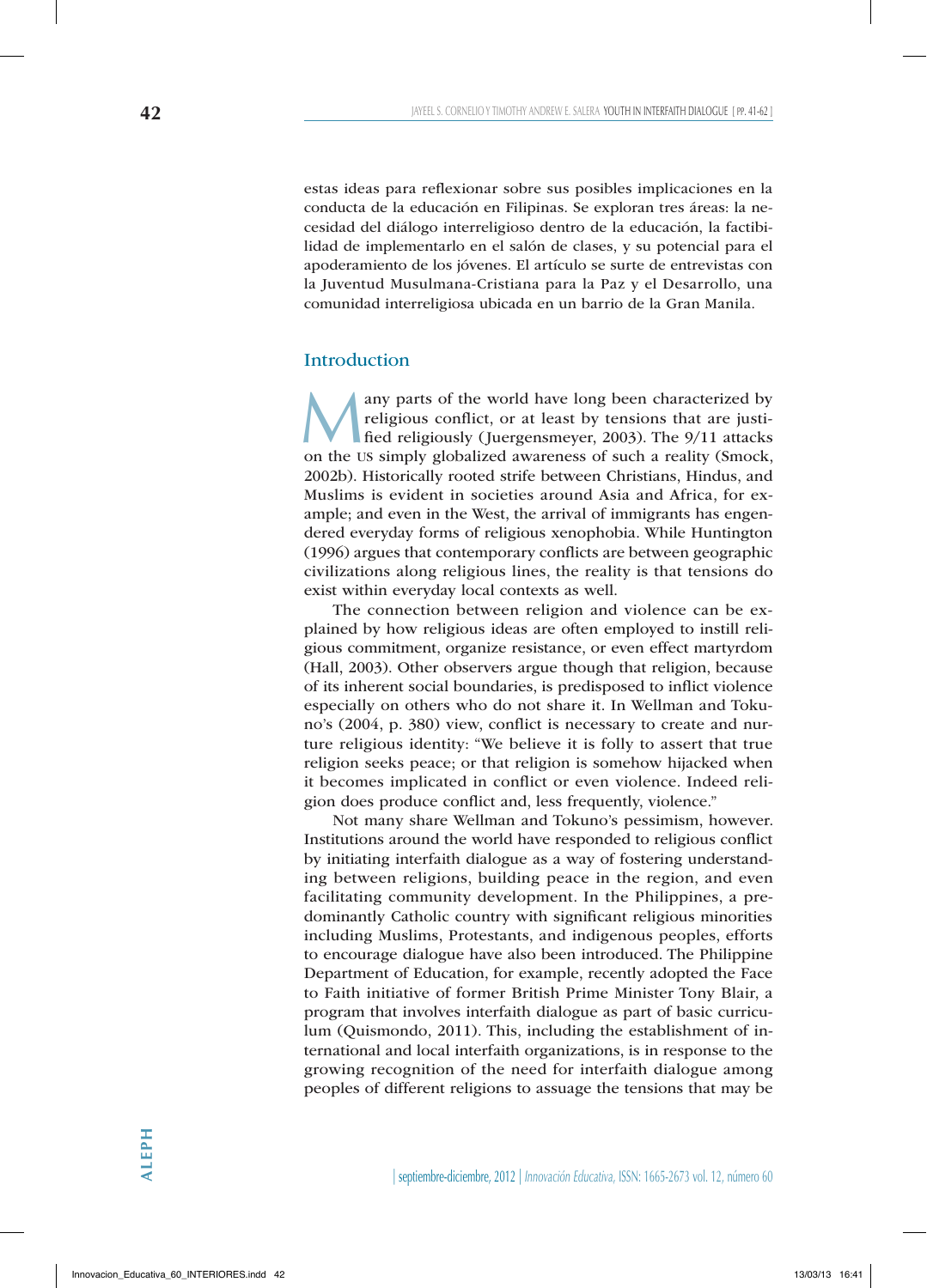estas ideas para reflexionar sobre sus posibles implicaciones en la conducta de la educación en Filipinas. Se exploran tres áreas: la necesidad del diálogo interreligioso dentro de la educación, la factibilidad de implementarlo en el salón de clases, y su potencial para el apoderamiento de los jóvenes. El artículo se surte de entrevistas con la Juventud Musulmana-Cristiana para la Paz y el Desarrollo, una comunidad interreligiosa ubicada en un barrio de la Gran Manila.

# **Introduction**

Many parts of the world have long been characterized by<br>religious conflict, or at least by tensions that are justi-<br>fied religiously (Juergensmeyer, 2003). The 9/11 attacks<br>on the US simply globalized awareness of such a r religious conflict, or at least by tensions that are justified religiously (Juergensmeyer, 2003). The 9/11 attacks on the us simply globalized awareness of such a reality (Smock, 2002b). Historically rooted strife between Christians, Hindus, and Muslims is evident in societies around Asia and Africa, for example; and even in the West, the arrival of immigrants has engendered everyday forms of religious xenophobia. While Huntington (1996) argues that contemporary conflicts are between geographic civilizations along religious lines, the reality is that tensions do exist within everyday local contexts as well.

The connection between religion and violence can be explained by how religious ideas are often employed to instill religious commitment, organize resistance, or even effect martyrdom (Hall, 2003). Other observers argue though that religion, because of its inherent social boundaries, is predisposed to inflict violence especially on others who do not share it. In Wellman and Tokuno's (2004, p. 380) view, conflict is necessary to create and nurture religious identity: "We believe it is folly to assert that true religion seeks peace; or that religion is somehow hijacked when it becomes implicated in conflict or even violence. Indeed religion does produce conflict and, less frequently, violence."

Not many share Wellman and Tokuno's pessimism, however. Institutions around the world have responded to religious conflict by initiating interfaith dialogue as a way of fostering understanding between religions, building peace in the region, and even facilitating community development. In the Philippines, a predominantly Catholic country with significant religious minorities including Muslims, Protestants, and indigenous peoples, efforts to encourage dialogue have also been introduced. The Philippine Department of Education, for example, recently adopted the Face to Faith initiative of former British Prime Minister Tony Blair, a program that involves interfaith dialogue as part of basic curriculum (Quismondo, 2011). This, including the establishment of international and local interfaith organizations, is in response to the growing recognition of the need for interfaith dialogue among peoples of different religions to assuage the tensions that may be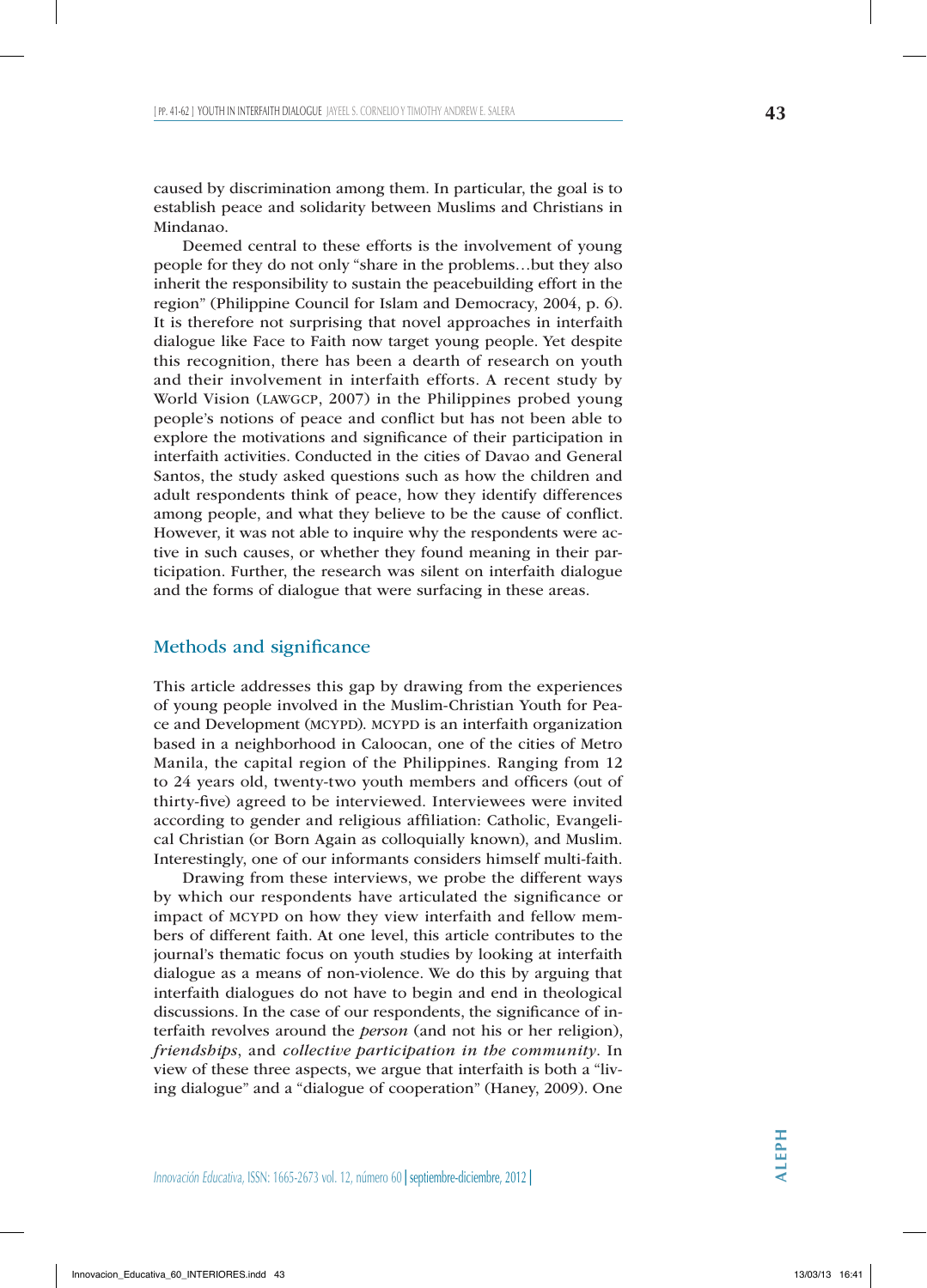caused by discrimination among them. In particular, the goal is to establish peace and solidarity between Muslims and Christians in Mindanao.

Deemed central to these efforts is the involvement of young people for they do not only "share in the problems…but they also inherit the responsibility to sustain the peacebuilding effort in the region" (Philippine Council for Islam and Democracy, 2004, p. 6). It is therefore not surprising that novel approaches in interfaith dialogue like Face to Faith now target young people. Yet despite this recognition, there has been a dearth of research on youth and their involvement in interfaith efforts. A recent study by World Vision (lawgcp, 2007) in the Philippines probed young people's notions of peace and conflict but has not been able to explore the motivations and significance of their participation in interfaith activities. Conducted in the cities of Davao and General Santos, the study asked questions such as how the children and adult respondents think of peace, how they identify differences among people, and what they believe to be the cause of conflict. However, it was not able to inquire why the respondents were active in such causes, or whether they found meaning in their participation. Further, the research was silent on interfaith dialogue and the forms of dialogue that were surfacing in these areas.

#### Methods and significance

This article addresses this gap by drawing from the experiences of young people involved in the Muslim-Christian Youth for Peace and Development (MCYPD). MCYPD is an interfaith organization based in a neighborhood in Caloocan, one of the cities of Metro Manila, the capital region of the Philippines. Ranging from 12 to 24 years old, twenty-two youth members and officers (out of thirty-five) agreed to be interviewed. Interviewees were invited according to gender and religious affiliation: Catholic, Evangelical Christian (or Born Again as colloquially known), and Muslim. Interestingly, one of our informants considers himself multi-faith.

Drawing from these interviews, we probe the different ways by which our respondents have articulated the significance or impact of MCYPD on how they view interfaith and fellow members of different faith. At one level, this article contributes to the journal's thematic focus on youth studies by looking at interfaith dialogue as a means of non-violence. We do this by arguing that interfaith dialogues do not have to begin and end in theological discussions. In the case of our respondents, the significance of interfaith revolves around the *person* (and not his or her religion), *friendships*, and *collective participation in the community*. In view of these three aspects, we argue that interfaith is both a "living dialogue" and a "dialogue of cooperation" (Haney, 2009). One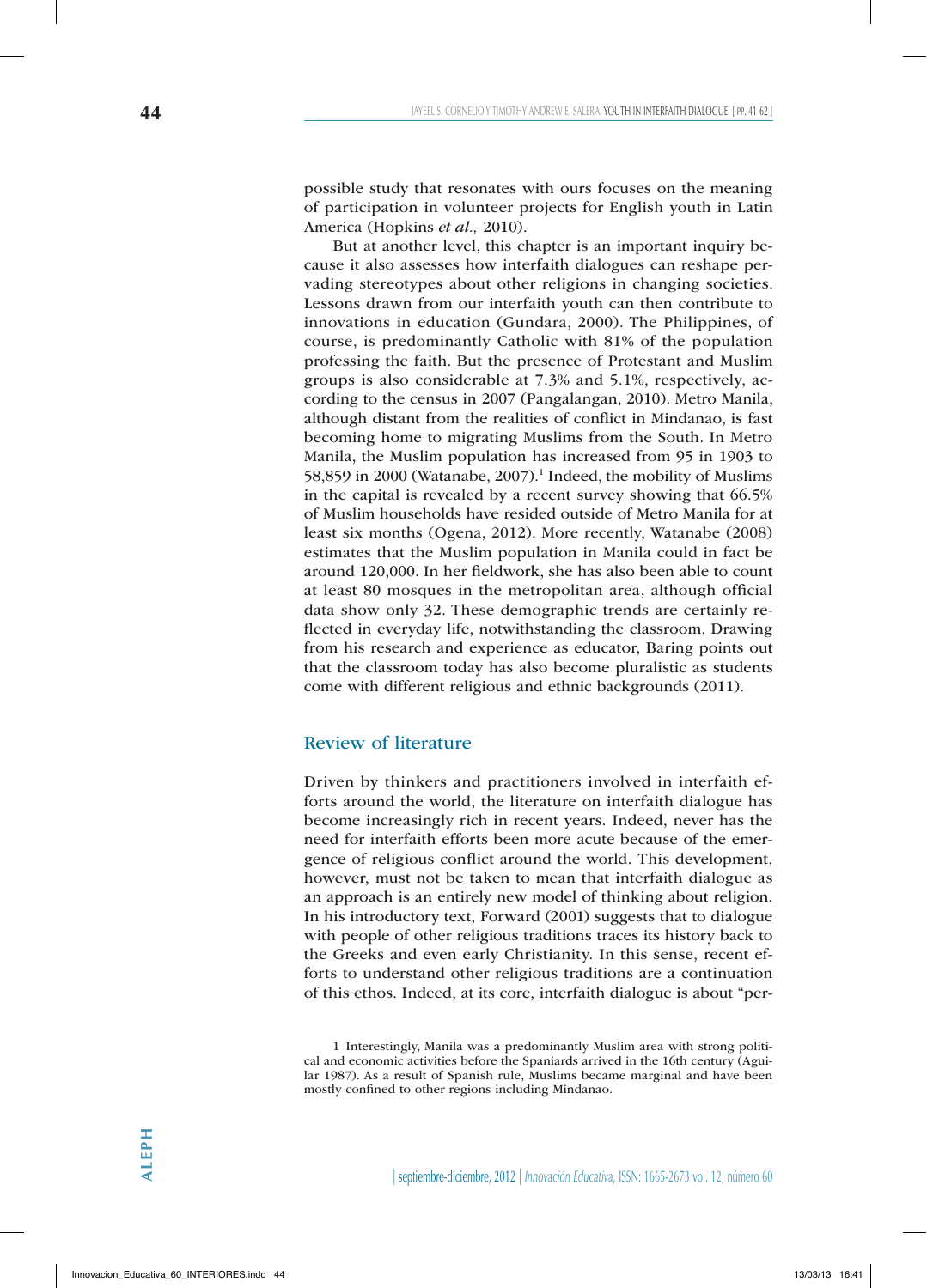possible study that resonates with ours focuses on the meaning of participation in volunteer projects for English youth in Latin America (Hopkins *et al.,* 2010).

But at another level, this chapter is an important inquiry because it also assesses how interfaith dialogues can reshape pervading stereotypes about other religions in changing societies. Lessons drawn from our interfaith youth can then contribute to innovations in education (Gundara, 2000). The Philippines, of course, is predominantly Catholic with 81% of the population professing the faith. But the presence of Protestant and Muslim groups is also considerable at 7.3% and 5.1%, respectively, according to the census in 2007 (Pangalangan, 2010). Metro Manila, although distant from the realities of conflict in Mindanao, is fast becoming home to migrating Muslims from the South. In Metro Manila, the Muslim population has increased from 95 in 1903 to 58,859 in 2000 (Watanabe, 2007). $^1$  Indeed, the mobility of Muslims in the capital is revealed by a recent survey showing that 66.5% of Muslim households have resided outside of Metro Manila for at least six months (Ogena, 2012). More recently, Watanabe (2008) estimates that the Muslim population in Manila could in fact be around 120,000. In her fieldwork, she has also been able to count at least 80 mosques in the metropolitan area, although official data show only 32. These demographic trends are certainly reflected in everyday life, notwithstanding the classroom. Drawing from his research and experience as educator, Baring points out that the classroom today has also become pluralistic as students come with different religious and ethnic backgrounds (2011).

# Review of literature

Driven by thinkers and practitioners involved in interfaith efforts around the world, the literature on interfaith dialogue has become increasingly rich in recent years. Indeed, never has the need for interfaith efforts been more acute because of the emergence of religious conflict around the world. This development, however, must not be taken to mean that interfaith dialogue as an approach is an entirely new model of thinking about religion. In his introductory text, Forward (2001) suggests that to dialogue with people of other religious traditions traces its history back to the Greeks and even early Christianity. In this sense, recent efforts to understand other religious traditions are a continuation of this ethos. Indeed, at its core, interfaith dialogue is about "per-

<sup>1</sup> Interestingly, Manila was a predominantly Muslim area with strong political and economic activities before the Spaniards arrived in the 16th century (Aguilar 1987). As a result of Spanish rule, Muslims became marginal and have been mostly confined to other regions including Mindanao.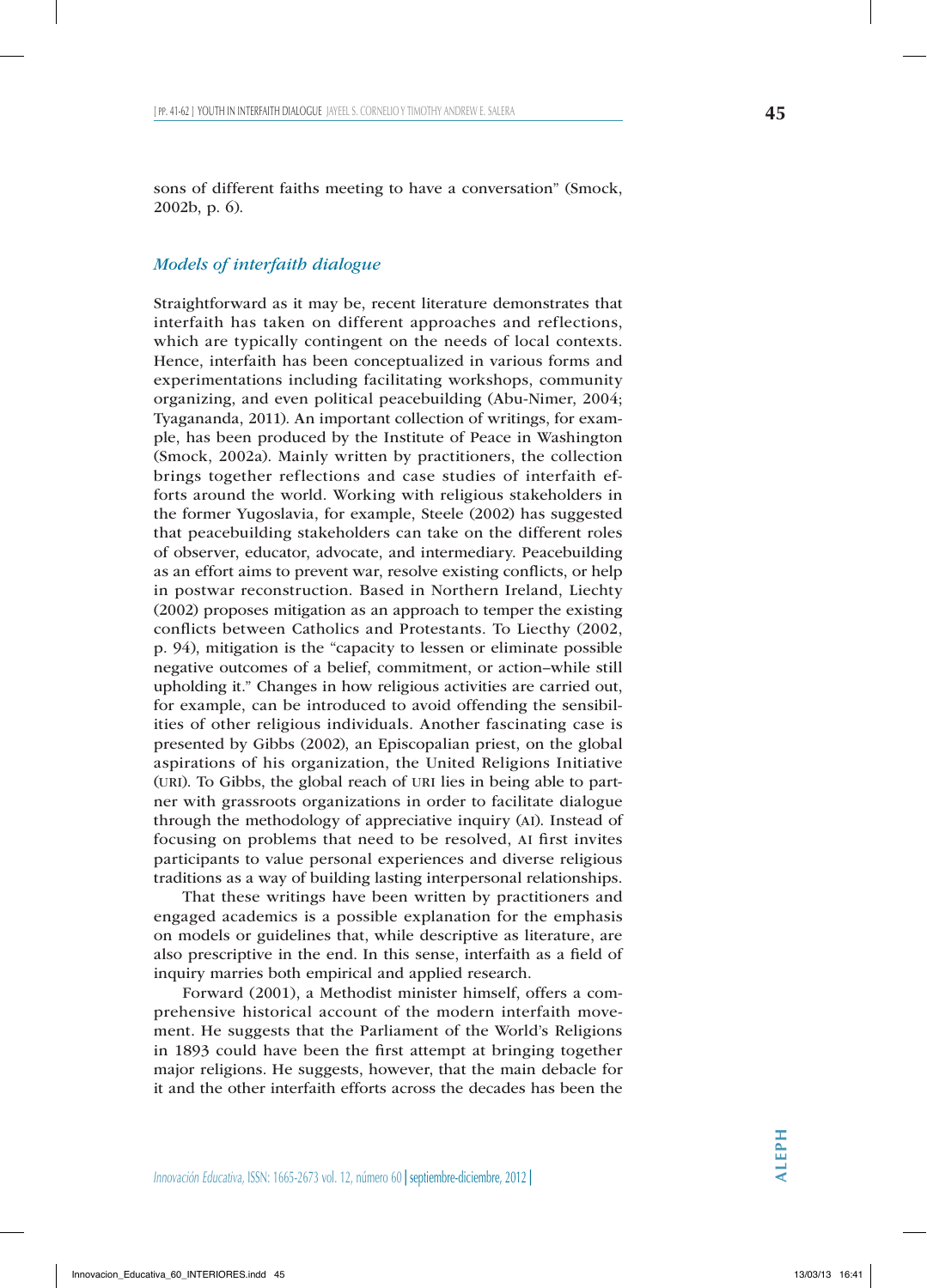sons of different faiths meeting to have a conversation" (Smock, 2002b, p. 6).

## *Models of interfaith dialogue*

Straightforward as it may be, recent literature demonstrates that interfaith has taken on different approaches and reflections, which are typically contingent on the needs of local contexts. Hence, interfaith has been conceptualized in various forms and experimentations including facilitating workshops, community organizing, and even political peacebuilding (Abu-Nimer, 2004; Tyagananda, 2011). An important collection of writings, for example, has been produced by the Institute of Peace in Washington (Smock, 2002a). Mainly written by practitioners, the collection brings together reflections and case studies of interfaith efforts around the world. Working with religious stakeholders in the former Yugoslavia, for example, Steele (2002) has suggested that peacebuilding stakeholders can take on the different roles of observer, educator, advocate, and intermediary. Peacebuilding as an effort aims to prevent war, resolve existing conflicts, or help in postwar reconstruction. Based in Northern Ireland, Liechty (2002) proposes mitigation as an approach to temper the existing conflicts between Catholics and Protestants. To Liecthy (2002, p. 94), mitigation is the "capacity to lessen or eliminate possible negative outcomes of a belief, commitment, or action–while still upholding it." Changes in how religious activities are carried out, for example, can be introduced to avoid offending the sensibilities of other religious individuals. Another fascinating case is presented by Gibbs (2002), an Episcopalian priest, on the global aspirations of his organization, the United Religions Initiative (uri). To Gibbs, the global reach of uri lies in being able to partner with grassroots organizations in order to facilitate dialogue through the methodology of appreciative inquiry (AI). Instead of focusing on problems that need to be resolved, ai first invites participants to value personal experiences and diverse religious traditions as a way of building lasting interpersonal relationships.

That these writings have been written by practitioners and engaged academics is a possible explanation for the emphasis on models or guidelines that, while descriptive as literature, are also prescriptive in the end. In this sense, interfaith as a field of inquiry marries both empirical and applied research.

Forward (2001), a Methodist minister himself, offers a comprehensive historical account of the modern interfaith movement. He suggests that the Parliament of the World's Religions in 1893 could have been the first attempt at bringing together major religions. He suggests, however, that the main debacle for it and the other interfaith efforts across the decades has been the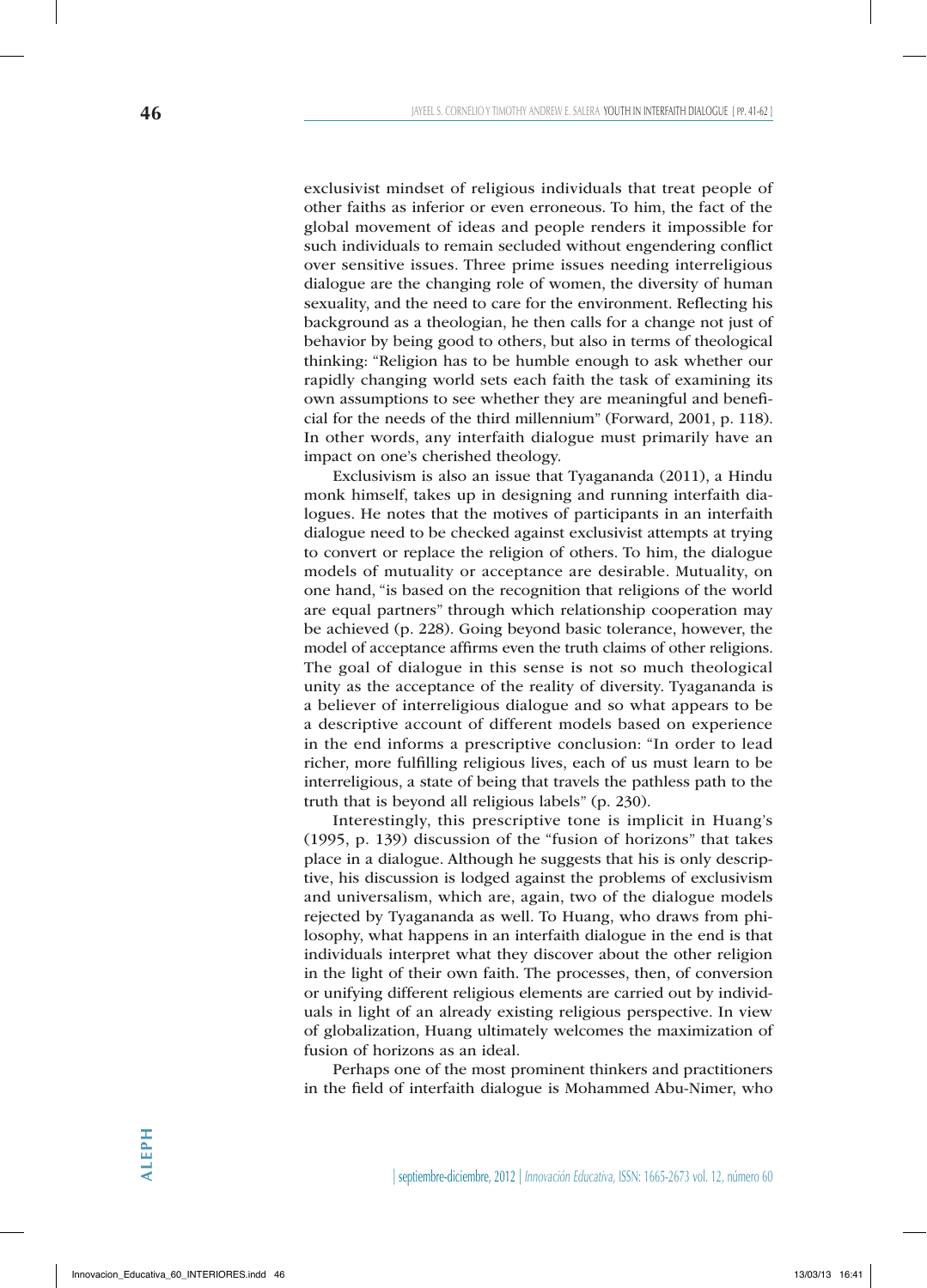exclusivist mindset of religious individuals that treat people of other faiths as inferior or even erroneous. To him, the fact of the global movement of ideas and people renders it impossible for such individuals to remain secluded without engendering conflict over sensitive issues. Three prime issues needing interreligious dialogue are the changing role of women, the diversity of human sexuality, and the need to care for the environment. Reflecting his background as a theologian, he then calls for a change not just of behavior by being good to others, but also in terms of theological thinking: "Religion has to be humble enough to ask whether our rapidly changing world sets each faith the task of examining its own assumptions to see whether they are meaningful and beneficial for the needs of the third millennium" (Forward, 2001, p. 118). In other words, any interfaith dialogue must primarily have an impact on one's cherished theology.

Exclusivism is also an issue that Tyagananda (2011), a Hindu monk himself, takes up in designing and running interfaith dialogues. He notes that the motives of participants in an interfaith dialogue need to be checked against exclusivist attempts at trying to convert or replace the religion of others. To him, the dialogue models of mutuality or acceptance are desirable. Mutuality, on one hand, "is based on the recognition that religions of the world are equal partners" through which relationship cooperation may be achieved (p. 228). Going beyond basic tolerance, however, the model of acceptance affirms even the truth claims of other religions. The goal of dialogue in this sense is not so much theological unity as the acceptance of the reality of diversity. Tyagananda is a believer of interreligious dialogue and so what appears to be a descriptive account of different models based on experience in the end informs a prescriptive conclusion: "In order to lead richer, more fulfilling religious lives, each of us must learn to be interreligious, a state of being that travels the pathless path to the truth that is beyond all religious labels" (p. 230).

Interestingly, this prescriptive tone is implicit in Huang's (1995, p. 139) discussion of the "fusion of horizons" that takes place in a dialogue. Although he suggests that his is only descriptive, his discussion is lodged against the problems of exclusivism and universalism, which are, again, two of the dialogue models rejected by Tyagananda as well. To Huang, who draws from philosophy, what happens in an interfaith dialogue in the end is that individuals interpret what they discover about the other religion in the light of their own faith. The processes, then, of conversion or unifying different religious elements are carried out by individuals in light of an already existing religious perspective. In view of globalization, Huang ultimately welcomes the maximization of fusion of horizons as an ideal.

Perhaps one of the most prominent thinkers and practitioners in the field of interfaith dialogue is Mohammed Abu-Nimer, who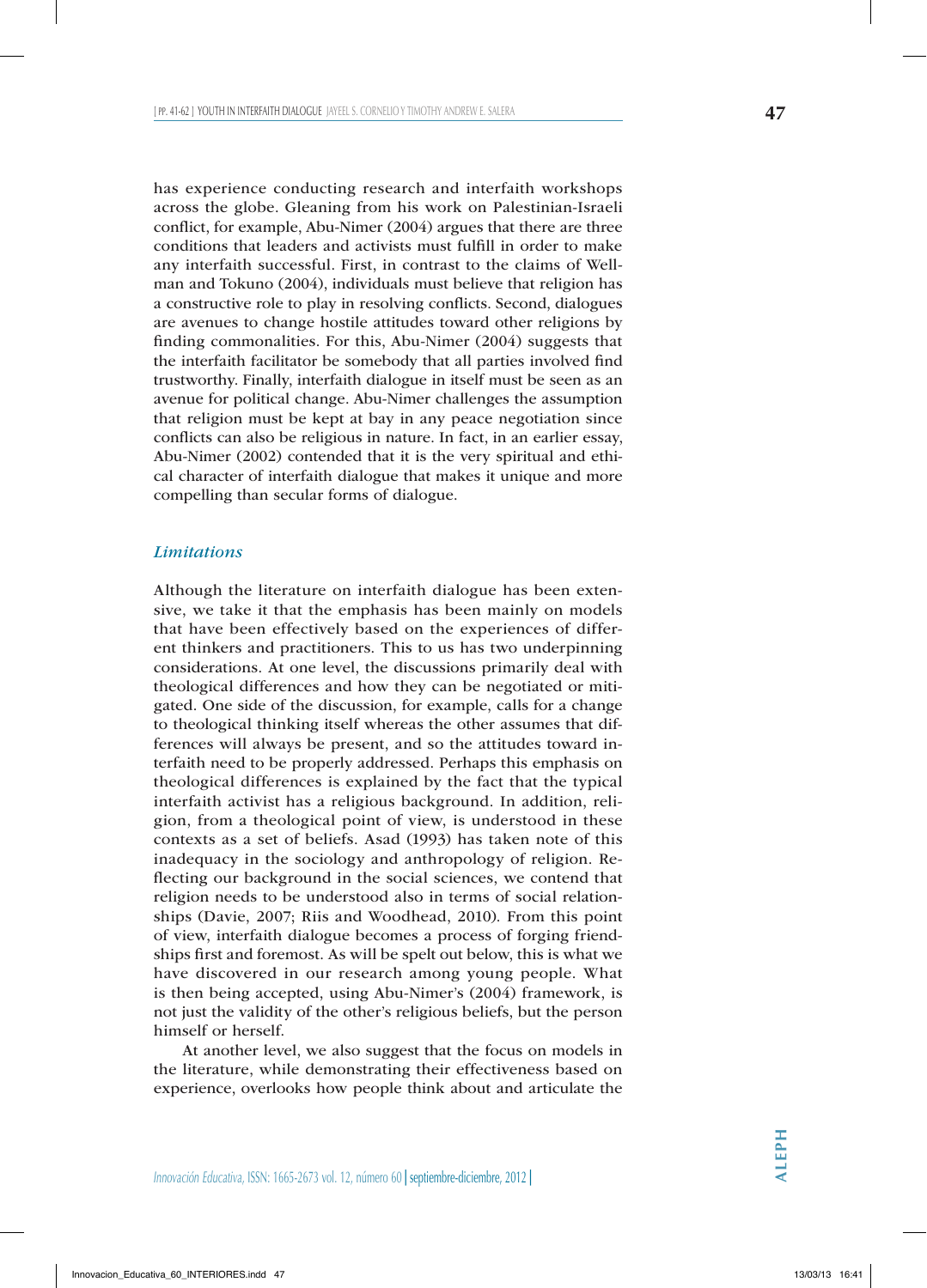has experience conducting research and interfaith workshops across the globe. Gleaning from his work on Palestinian-Israeli conflict, for example, Abu-Nimer (2004) argues that there are three conditions that leaders and activists must fulfill in order to make any interfaith successful. First, in contrast to the claims of Wellman and Tokuno (2004), individuals must believe that religion has a constructive role to play in resolving conflicts. Second, dialogues are avenues to change hostile attitudes toward other religions by finding commonalities. For this, Abu-Nimer (2004) suggests that the interfaith facilitator be somebody that all parties involved find trustworthy. Finally, interfaith dialogue in itself must be seen as an avenue for political change. Abu-Nimer challenges the assumption that religion must be kept at bay in any peace negotiation since conflicts can also be religious in nature. In fact, in an earlier essay, Abu-Nimer (2002) contended that it is the very spiritual and ethical character of interfaith dialogue that makes it unique and more compelling than secular forms of dialogue.

## *Limitations*

Although the literature on interfaith dialogue has been extensive, we take it that the emphasis has been mainly on models that have been effectively based on the experiences of different thinkers and practitioners. This to us has two underpinning considerations. At one level, the discussions primarily deal with theological differences and how they can be negotiated or mitigated. One side of the discussion, for example, calls for a change to theological thinking itself whereas the other assumes that differences will always be present, and so the attitudes toward interfaith need to be properly addressed. Perhaps this emphasis on theological differences is explained by the fact that the typical interfaith activist has a religious background. In addition, religion, from a theological point of view, is understood in these contexts as a set of beliefs. Asad (1993) has taken note of this inadequacy in the sociology and anthropology of religion. Reflecting our background in the social sciences, we contend that religion needs to be understood also in terms of social relationships (Davie, 2007; Riis and Woodhead, 2010). From this point of view, interfaith dialogue becomes a process of forging friendships first and foremost. As will be spelt out below, this is what we have discovered in our research among young people. What is then being accepted, using Abu-Nimer's (2004) framework, is not just the validity of the other's religious beliefs, but the person himself or herself.

At another level, we also suggest that the focus on models in the literature, while demonstrating their effectiveness based on experience, overlooks how people think about and articulate the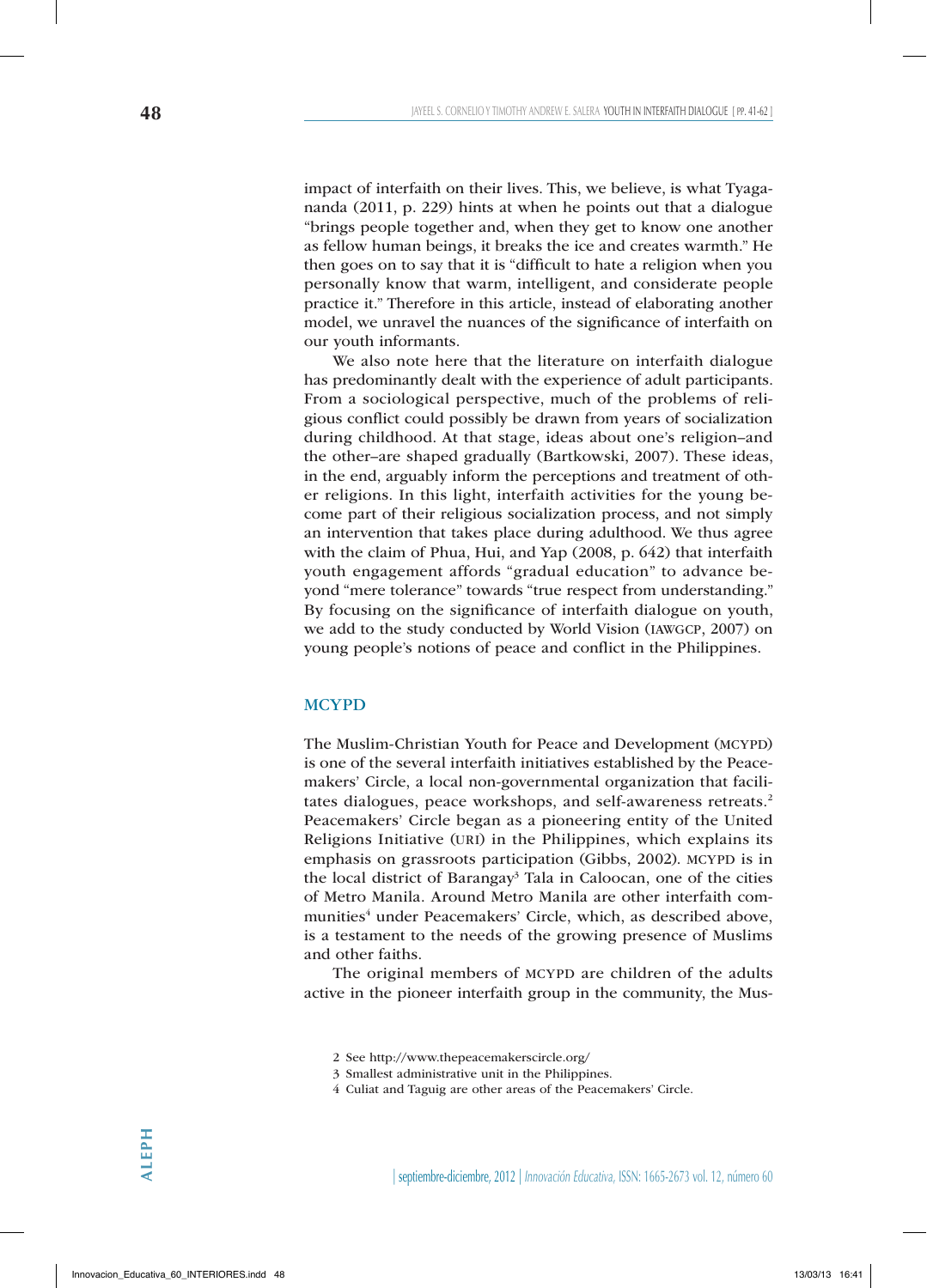impact of interfaith on their lives. This, we believe, is what Tyagananda (2011, p. 229) hints at when he points out that a dialogue "brings people together and, when they get to know one another as fellow human beings, it breaks the ice and creates warmth." He then goes on to say that it is "difficult to hate a religion when you personally know that warm, intelligent, and considerate people practice it." Therefore in this article, instead of elaborating another model, we unravel the nuances of the significance of interfaith on our youth informants.

We also note here that the literature on interfaith dialogue has predominantly dealt with the experience of adult participants. From a sociological perspective, much of the problems of religious conflict could possibly be drawn from years of socialization during childhood. At that stage, ideas about one's religion–and the other–are shaped gradually (Bartkowski, 2007). These ideas, in the end, arguably inform the perceptions and treatment of other religions. In this light, interfaith activities for the young become part of their religious socialization process, and not simply an intervention that takes place during adulthood. We thus agree with the claim of Phua, Hui, and Yap (2008, p. 642) that interfaith youth engagement affords "gradual education" to advance beyond "mere tolerance" towards "true respect from understanding." By focusing on the significance of interfaith dialogue on youth, we add to the study conducted by World Vision (iawgcp, 2007) on young people's notions of peace and conflict in the Philippines.

#### **MCYPD**

The Muslim-Christian Youth for Peace and Development (MCYPD) is one of the several interfaith initiatives established by the Peacemakers' Circle, a local non-governmental organization that facilitates dialogues, peace workshops, and self-awareness retreats.<sup>2</sup> Peacemakers' Circle began as a pioneering entity of the United Religions Initiative (uri) in the Philippines, which explains its emphasis on grassroots participation (Gibbs, 2002). MCYPD is in the local district of Barangay<sup>3</sup> Tala in Caloocan, one of the cities of Metro Manila. Around Metro Manila are other interfaith communities<sup>4</sup> under Peacemakers' Circle, which, as described above, is a testament to the needs of the growing presence of Muslims and other faiths.

The original members of MCYPD are children of the adults active in the pioneer interfaith group in the community, the Mus-

<sup>2</sup> See http://www.thepeacemakerscircle.org/

<sup>3</sup> Smallest administrative unit in the Philippines.

<sup>4</sup> Culiat and Taguig are other areas of the Peacemakers' Circle.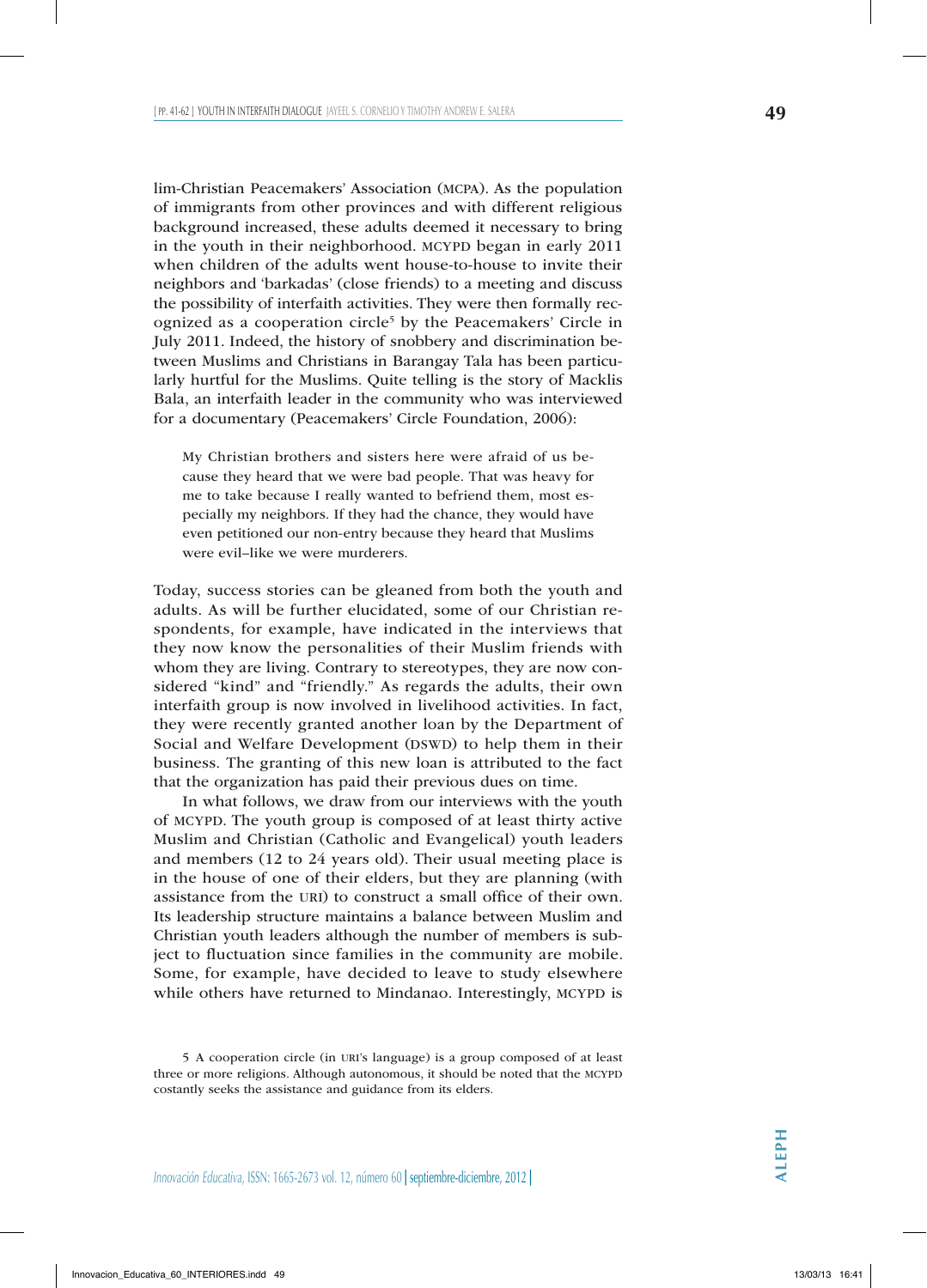lim-Christian Peacemakers' Association (mcpa). As the population of immigrants from other provinces and with different religious background increased, these adults deemed it necessary to bring in the youth in their neighborhood. MCYPD began in early 2011 when children of the adults went house-to-house to invite their neighbors and 'barkadas' (close friends) to a meeting and discuss the possibility of interfaith activities. They were then formally recognized as a cooperation circle<sup>5</sup> by the Peacemakers' Circle in July 2011. Indeed, the history of snobbery and discrimination between Muslims and Christians in Barangay Tala has been particularly hurtful for the Muslims. Quite telling is the story of Macklis Bala, an interfaith leader in the community who was interviewed for a documentary (Peacemakers' Circle Foundation, 2006):

My Christian brothers and sisters here were afraid of us because they heard that we were bad people. That was heavy for me to take because I really wanted to befriend them, most especially my neighbors. If they had the chance, they would have even petitioned our non-entry because they heard that Muslims were evil–like we were murderers.

Today, success stories can be gleaned from both the youth and adults. As will be further elucidated, some of our Christian respondents, for example, have indicated in the interviews that they now know the personalities of their Muslim friends with whom they are living. Contrary to stereotypes, they are now considered "kind" and "friendly." As regards the adults, their own interfaith group is now involved in livelihood activities. In fact, they were recently granted another loan by the Department of Social and Welfare Development (DSWD) to help them in their business. The granting of this new loan is attributed to the fact that the organization has paid their previous dues on time.

In what follows, we draw from our interviews with the youth of mcypd. The youth group is composed of at least thirty active Muslim and Christian (Catholic and Evangelical) youth leaders and members (12 to 24 years old). Their usual meeting place is in the house of one of their elders, but they are planning (with assistance from the uri) to construct a small office of their own. Its leadership structure maintains a balance between Muslim and Christian youth leaders although the number of members is subject to fluctuation since families in the community are mobile. Some, for example, have decided to leave to study elsewhere while others have returned to Mindanao. Interestingly, MCYPD is

<sup>5</sup> A cooperation circle (in uri's language) is a group composed of at least three or more religions. Although autonomous, it should be noted that the MCYPD costantly seeks the assistance and guidance from its elders.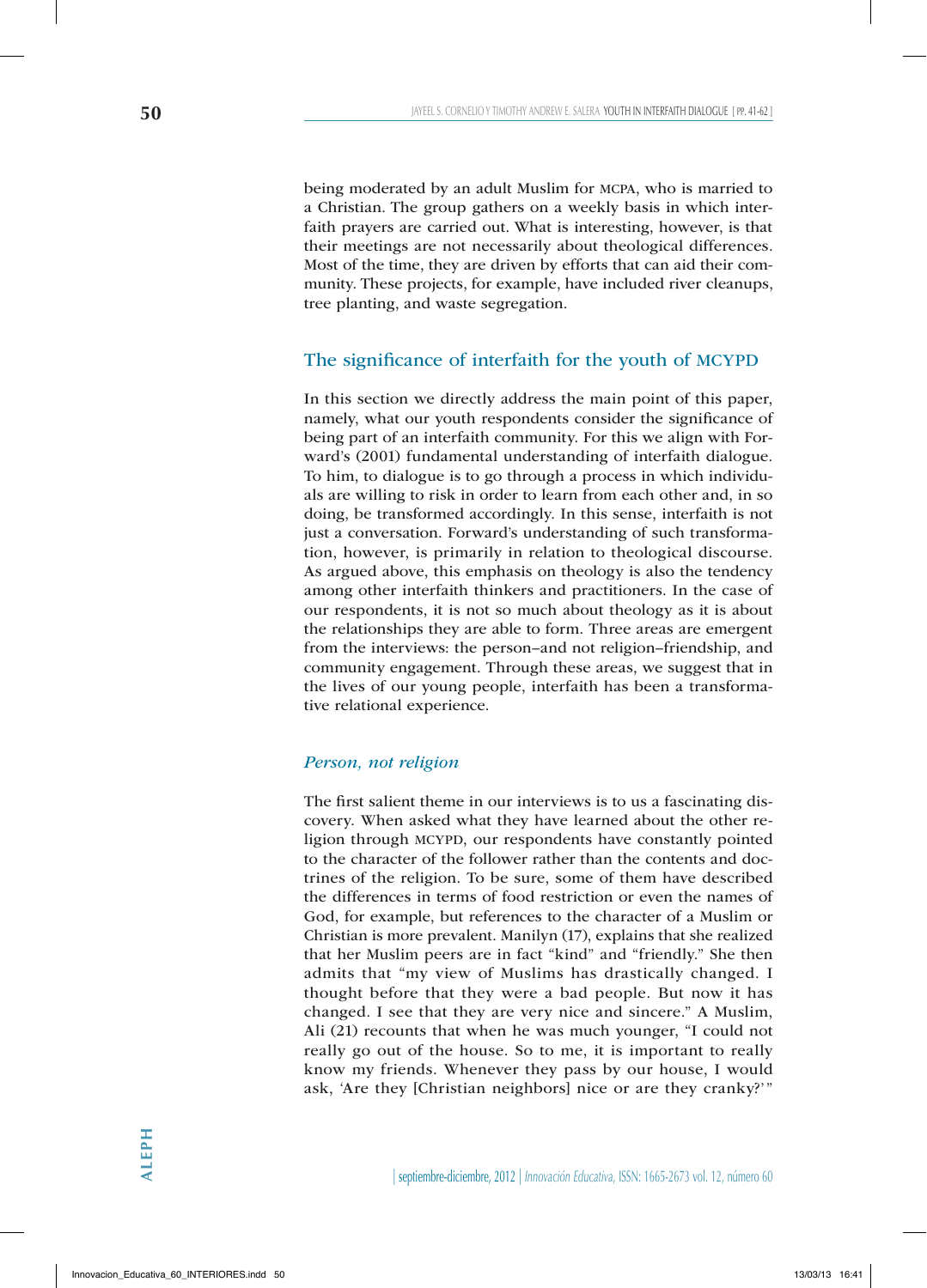being moderated by an adult Muslim for mcpa, who is married to a Christian. The group gathers on a weekly basis in which interfaith prayers are carried out. What is interesting, however, is that their meetings are not necessarily about theological differences. Most of the time, they are driven by efforts that can aid their community. These projects, for example, have included river cleanups, tree planting, and waste segregation.

# The significance of interfaith for the youth of MCYPD

In this section we directly address the main point of this paper, namely, what our youth respondents consider the significance of being part of an interfaith community. For this we align with Forward's (2001) fundamental understanding of interfaith dialogue. To him, to dialogue is to go through a process in which individuals are willing to risk in order to learn from each other and, in so doing, be transformed accordingly. In this sense, interfaith is not just a conversation. Forward's understanding of such transformation, however, is primarily in relation to theological discourse. As argued above, this emphasis on theology is also the tendency among other interfaith thinkers and practitioners. In the case of our respondents, it is not so much about theology as it is about the relationships they are able to form. Three areas are emergent from the interviews: the person–and not religion–friendship, and community engagement. Through these areas, we suggest that in the lives of our young people, interfaith has been a transformative relational experience.

#### *Person, not religion*

The first salient theme in our interviews is to us a fascinating discovery. When asked what they have learned about the other religion through MCYPD, our respondents have constantly pointed to the character of the follower rather than the contents and doctrines of the religion. To be sure, some of them have described the differences in terms of food restriction or even the names of God, for example, but references to the character of a Muslim or Christian is more prevalent. Manilyn (17), explains that she realized that her Muslim peers are in fact "kind" and "friendly." She then admits that "my view of Muslims has drastically changed. I thought before that they were a bad people. But now it has changed. I see that they are very nice and sincere." A Muslim, Ali (21) recounts that when he was much younger, "I could not really go out of the house. So to me, it is important to really know my friends. Whenever they pass by our house, I would ask, 'Are they [Christian neighbors] nice or are they cranky?'"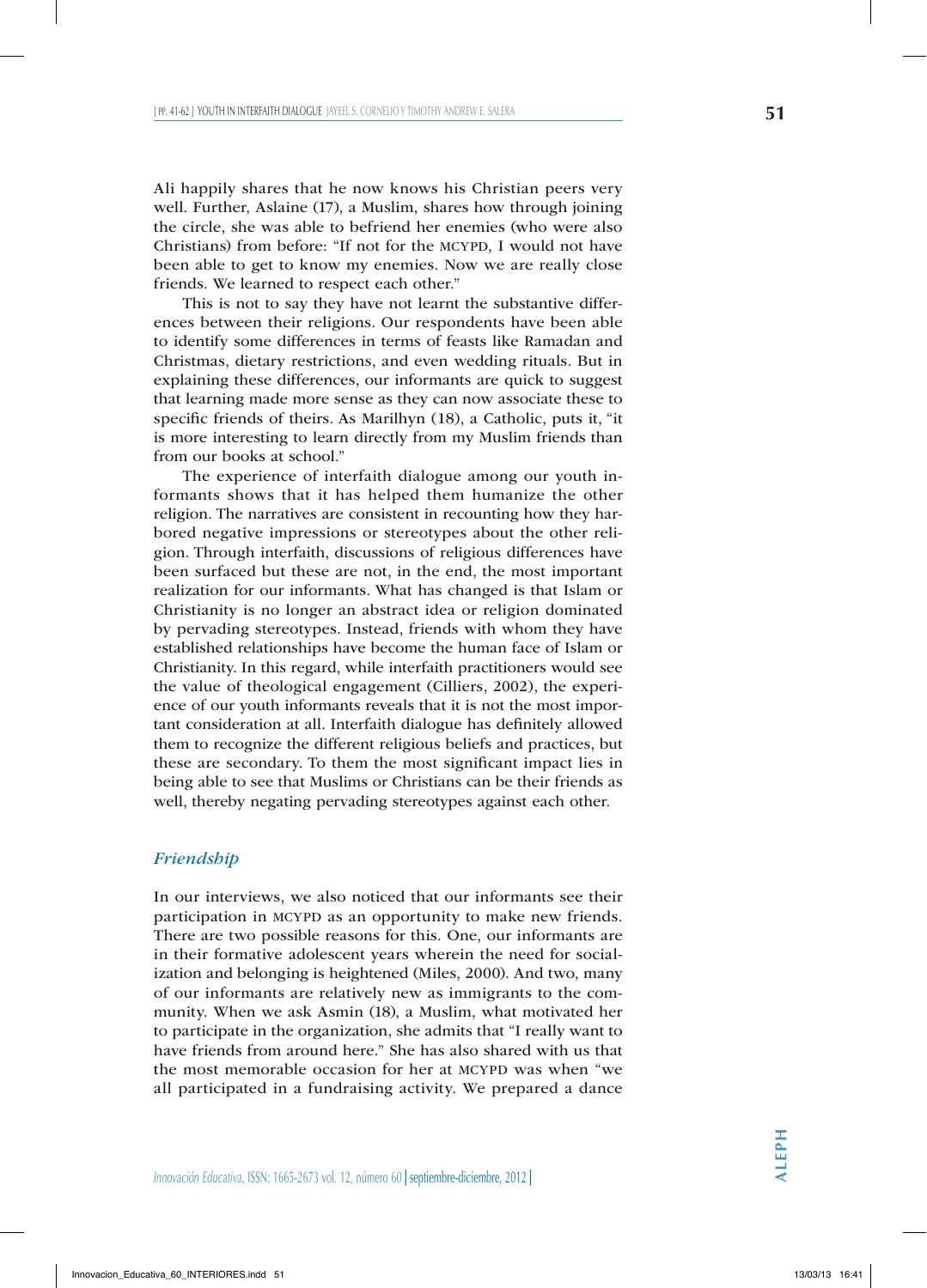Ali happily shares that he now knows his Christian peers very well. Further, Aslaine (17), a Muslim, shares how through joining the circle, she was able to befriend her enemies (who were also Christians) from before: "If not for the MCYPD, I would not have been able to get to know my enemies. Now we are really close friends. We learned to respect each other."

This is not to say they have not learnt the substantive differences between their religions. Our respondents have been able to identify some differences in terms of feasts like Ramadan and Christmas, dietary restrictions, and even wedding rituals. But in explaining these differences, our informants are quick to suggest that learning made more sense as they can now associate these to specific friends of theirs. As Marilhyn (18), a Catholic, puts it, "it is more interesting to learn directly from my Muslim friends than from our books at school."

The experience of interfaith dialogue among our youth informants shows that it has helped them humanize the other religion. The narratives are consistent in recounting how they harbored negative impressions or stereotypes about the other religion. Through interfaith, discussions of religious differences have been surfaced but these are not, in the end, the most important realization for our informants. What has changed is that Islam or Christianity is no longer an abstract idea or religion dominated by pervading stereotypes. Instead, friends with whom they have established relationships have become the human face of Islam or Christianity. In this regard, while interfaith practitioners would see the value of theological engagement (Cilliers, 2002), the experience of our youth informants reveals that it is not the most important consideration at all. Interfaith dialogue has definitely allowed them to recognize the different religious beliefs and practices, but these are secondary. To them the most significant impact lies in being able to see that Muslims or Christians can be their friends as well, thereby negating pervading stereotypes against each other.

#### *Friendship*

In our interviews, we also noticed that our informants see their participation in MCYPD as an opportunity to make new friends. There are two possible reasons for this. One, our informants are in their formative adolescent years wherein the need for socialization and belonging is heightened (Miles, 2000). And two, many of our informants are relatively new as immigrants to the community. When we ask Asmin (18), a Muslim, what motivated her to participate in the organization, she admits that "I really want to have friends from around here." She has also shared with us that the most memorable occasion for her at MCYPD was when "we all participated in a fundraising activity. We prepared a dance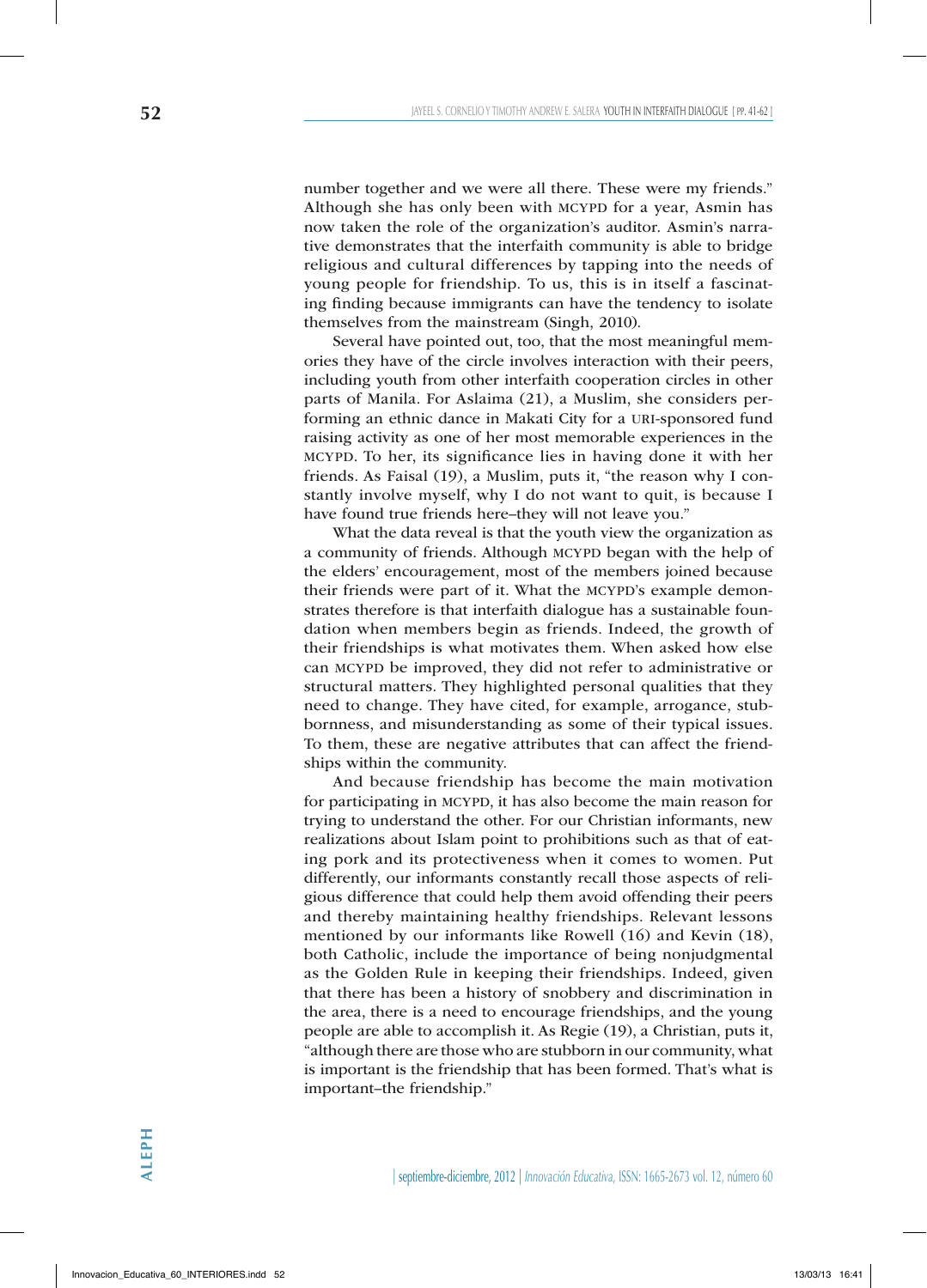number together and we were all there. These were my friends." Although she has only been with MCYPD for a year, Asmin has now taken the role of the organization's auditor. Asmin's narrative demonstrates that the interfaith community is able to bridge religious and cultural differences by tapping into the needs of young people for friendship. To us, this is in itself a fascinating finding because immigrants can have the tendency to isolate themselves from the mainstream (Singh, 2010).

Several have pointed out, too, that the most meaningful memories they have of the circle involves interaction with their peers, including youth from other interfaith cooperation circles in other parts of Manila. For Aslaima (21), a Muslim, she considers performing an ethnic dance in Makati City for a URI-sponsored fund raising activity as one of her most memorable experiences in the mcypd. To her, its significance lies in having done it with her friends. As Faisal (19), a Muslim, puts it, "the reason why I constantly involve myself, why I do not want to quit, is because I have found true friends here–they will not leave you."

What the data reveal is that the youth view the organization as a community of friends. Although MCYPD began with the help of the elders' encouragement, most of the members joined because their friends were part of it. What the MCYPD's example demonstrates therefore is that interfaith dialogue has a sustainable foundation when members begin as friends. Indeed, the growth of their friendships is what motivates them. When asked how else can mcypd be improved, they did not refer to administrative or structural matters. They highlighted personal qualities that they need to change. They have cited, for example, arrogance, stubbornness, and misunderstanding as some of their typical issues. To them, these are negative attributes that can affect the friendships within the community.

And because friendship has become the main motivation for participating in MCYPD, it has also become the main reason for trying to understand the other. For our Christian informants, new realizations about Islam point to prohibitions such as that of eating pork and its protectiveness when it comes to women. Put differently, our informants constantly recall those aspects of religious difference that could help them avoid offending their peers and thereby maintaining healthy friendships. Relevant lessons mentioned by our informants like Rowell (16) and Kevin (18), both Catholic, include the importance of being nonjudgmental as the Golden Rule in keeping their friendships. Indeed, given that there has been a history of snobbery and discrimination in the area, there is a need to encourage friendships, and the young people are able to accomplish it. As Regie (19), a Christian, puts it, "although there are those who are stubborn in our community, what is important is the friendship that has been formed. That's what is important–the friendship."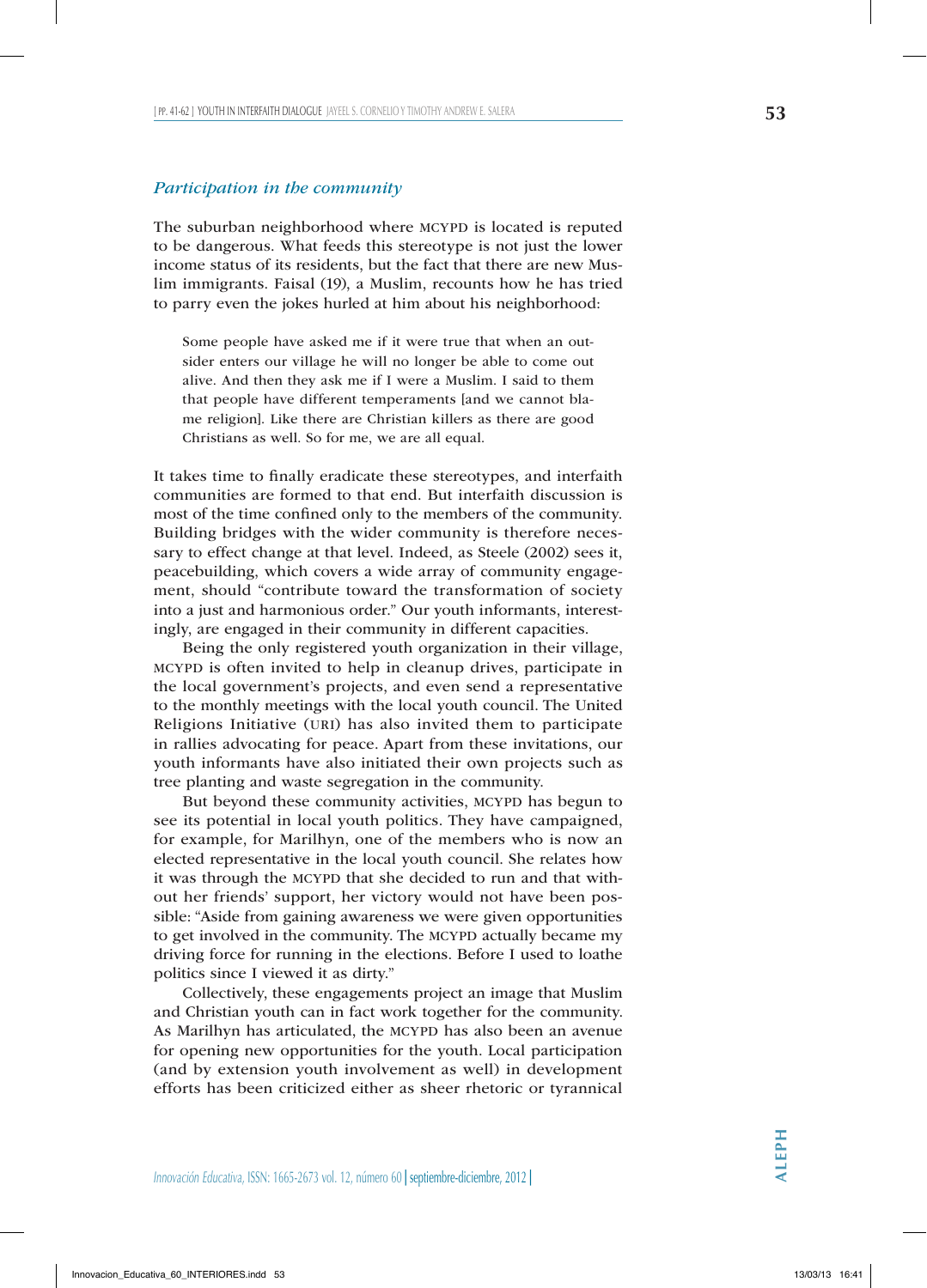#### *Participation in the community*

The suburban neighborhood where MCYPD is located is reputed to be dangerous. What feeds this stereotype is not just the lower income status of its residents, but the fact that there are new Muslim immigrants. Faisal (19), a Muslim, recounts how he has tried to parry even the jokes hurled at him about his neighborhood:

Some people have asked me if it were true that when an outsider enters our village he will no longer be able to come out alive. And then they ask me if I were a Muslim. I said to them that people have different temperaments [and we cannot blame religion]. Like there are Christian killers as there are good Christians as well. So for me, we are all equal.

It takes time to finally eradicate these stereotypes, and interfaith communities are formed to that end. But interfaith discussion is most of the time confined only to the members of the community. Building bridges with the wider community is therefore necessary to effect change at that level. Indeed, as Steele (2002) sees it, peacebuilding, which covers a wide array of community engagement, should "contribute toward the transformation of society into a just and harmonious order." Our youth informants, interestingly, are engaged in their community in different capacities.

Being the only registered youth organization in their village, mcypd is often invited to help in cleanup drives, participate in the local government's projects, and even send a representative to the monthly meetings with the local youth council. The United Religions Initiative (uri) has also invited them to participate in rallies advocating for peace. Apart from these invitations, our youth informants have also initiated their own projects such as tree planting and waste segregation in the community.

But beyond these community activities, MCYPD has begun to see its potential in local youth politics. They have campaigned, for example, for Marilhyn, one of the members who is now an elected representative in the local youth council. She relates how it was through the MCYPD that she decided to run and that without her friends' support, her victory would not have been possible: "Aside from gaining awareness we were given opportunities to get involved in the community. The MCYPD actually became my driving force for running in the elections. Before I used to loathe politics since I viewed it as dirty."

Collectively, these engagements project an image that Muslim and Christian youth can in fact work together for the community. As Marilhyn has articulated, the MCYPD has also been an avenue for opening new opportunities for the youth. Local participation (and by extension youth involvement as well) in development efforts has been criticized either as sheer rhetoric or tyrannical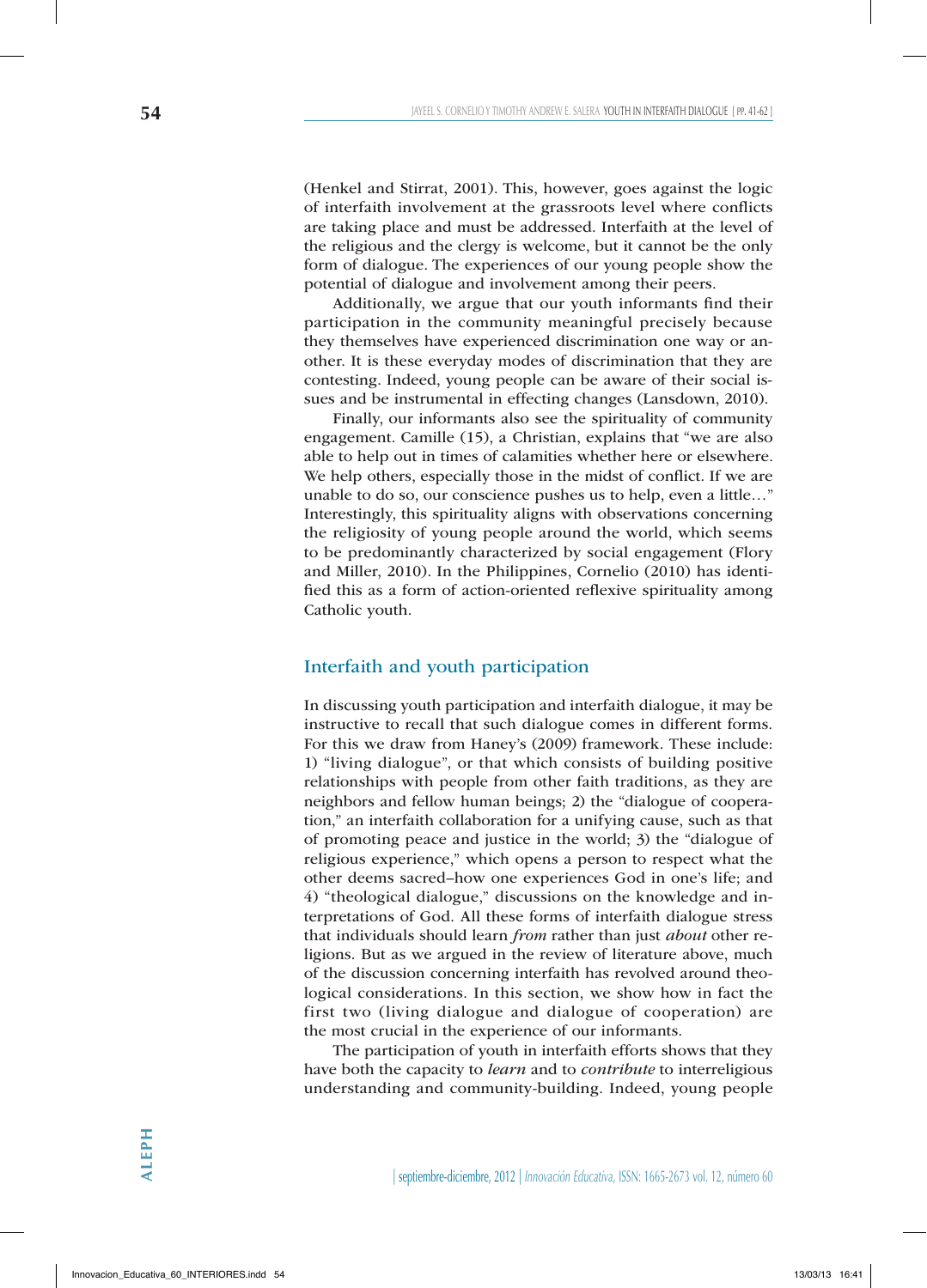(Henkel and Stirrat, 2001). This, however, goes against the logic of interfaith involvement at the grassroots level where conflicts are taking place and must be addressed. Interfaith at the level of the religious and the clergy is welcome, but it cannot be the only form of dialogue. The experiences of our young people show the potential of dialogue and involvement among their peers.

Additionally, we argue that our youth informants find their participation in the community meaningful precisely because they themselves have experienced discrimination one way or another. It is these everyday modes of discrimination that they are contesting. Indeed, young people can be aware of their social issues and be instrumental in effecting changes (Lansdown, 2010).

Finally, our informants also see the spirituality of community engagement. Camille (15), a Christian, explains that "we are also able to help out in times of calamities whether here or elsewhere. We help others, especially those in the midst of conflict. If we are unable to do so, our conscience pushes us to help, even a little…" Interestingly, this spirituality aligns with observations concerning the religiosity of young people around the world, which seems to be predominantly characterized by social engagement (Flory and Miller, 2010). In the Philippines, Cornelio (2010) has identified this as a form of action-oriented reflexive spirituality among Catholic youth.

# Interfaith and youth participation

In discussing youth participation and interfaith dialogue, it may be instructive to recall that such dialogue comes in different forms. For this we draw from Haney's (2009) framework. These include: 1) "living dialogue", or that which consists of building positive relationships with people from other faith traditions, as they are neighbors and fellow human beings; 2) the "dialogue of cooperation," an interfaith collaboration for a unifying cause, such as that of promoting peace and justice in the world; 3) the "dialogue of religious experience," which opens a person to respect what the other deems sacred–how one experiences God in one's life; and 4) "theological dialogue," discussions on the knowledge and interpretations of God. All these forms of interfaith dialogue stress that individuals should learn *from* rather than just *about* other religions. But as we argued in the review of literature above, much of the discussion concerning interfaith has revolved around theological considerations. In this section, we show how in fact the first two (living dialogue and dialogue of cooperation) are the most crucial in the experience of our informants.

The participation of youth in interfaith efforts shows that they have both the capacity to *learn* and to *contribute* to interreligious understanding and community-building. Indeed, young people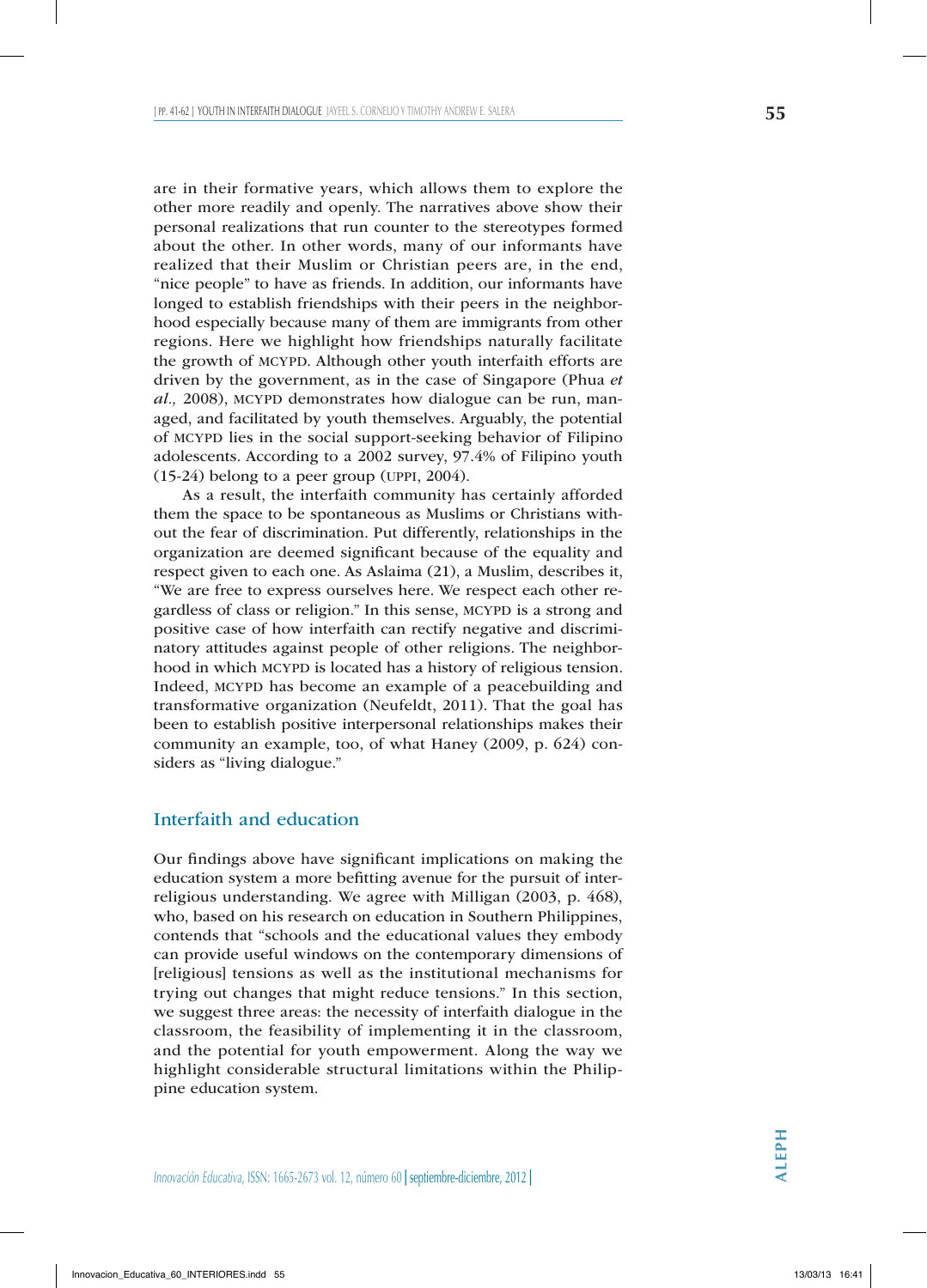are in their formative years, which allows them to explore the other more readily and openly. The narratives above show their personal realizations that run counter to the stereotypes formed about the other. In other words, many of our informants have realized that their Muslim or Christian peers are, in the end, "nice people" to have as friends. In addition, our informants have longed to establish friendships with their peers in the neighborhood especially because many of them are immigrants from other regions. Here we highlight how friendships naturally facilitate the growth of MCYPD. Although other youth interfaith efforts are driven by the government, as in the case of Singapore (Phua *et al.*, 2008), MCYPD demonstrates how dialogue can be run, managed, and facilitated by youth themselves. Arguably, the potential of mcypd lies in the social support-seeking behavior of Filipino adolescents. According to a 2002 survey, 97.4% of Filipino youth

(15-24) belong to a peer group (uppi, 2004). As a result, the interfaith community has certainly afforded them the space to be spontaneous as Muslims or Christians without the fear of discrimination. Put differently, relationships in the organization are deemed significant because of the equality and respect given to each one. As Aslaima (21), a Muslim, describes it, "We are free to express ourselves here. We respect each other regardless of class or religion." In this sense, MCYPD is a strong and positive case of how interfaith can rectify negative and discriminatory attitudes against people of other religions. The neighborhood in which MCYPD is located has a history of religious tension. Indeed, MCYPD has become an example of a peacebuilding and transformative organization (Neufeldt, 2011). That the goal has been to establish positive interpersonal relationships makes their community an example, too, of what Haney (2009, p. 624) considers as "living dialogue."

# Interfaith and education

Our findings above have significant implications on making the education system a more befitting avenue for the pursuit of interreligious understanding. We agree with Milligan (2003, p. 468), who, based on his research on education in Southern Philippines, contends that "schools and the educational values they embody can provide useful windows on the contemporary dimensions of [religious] tensions as well as the institutional mechanisms for trying out changes that might reduce tensions." In this section, we suggest three areas: the necessity of interfaith dialogue in the classroom, the feasibility of implementing it in the classroom, and the potential for youth empowerment. Along the way we highlight considerable structural limitations within the Philippine education system.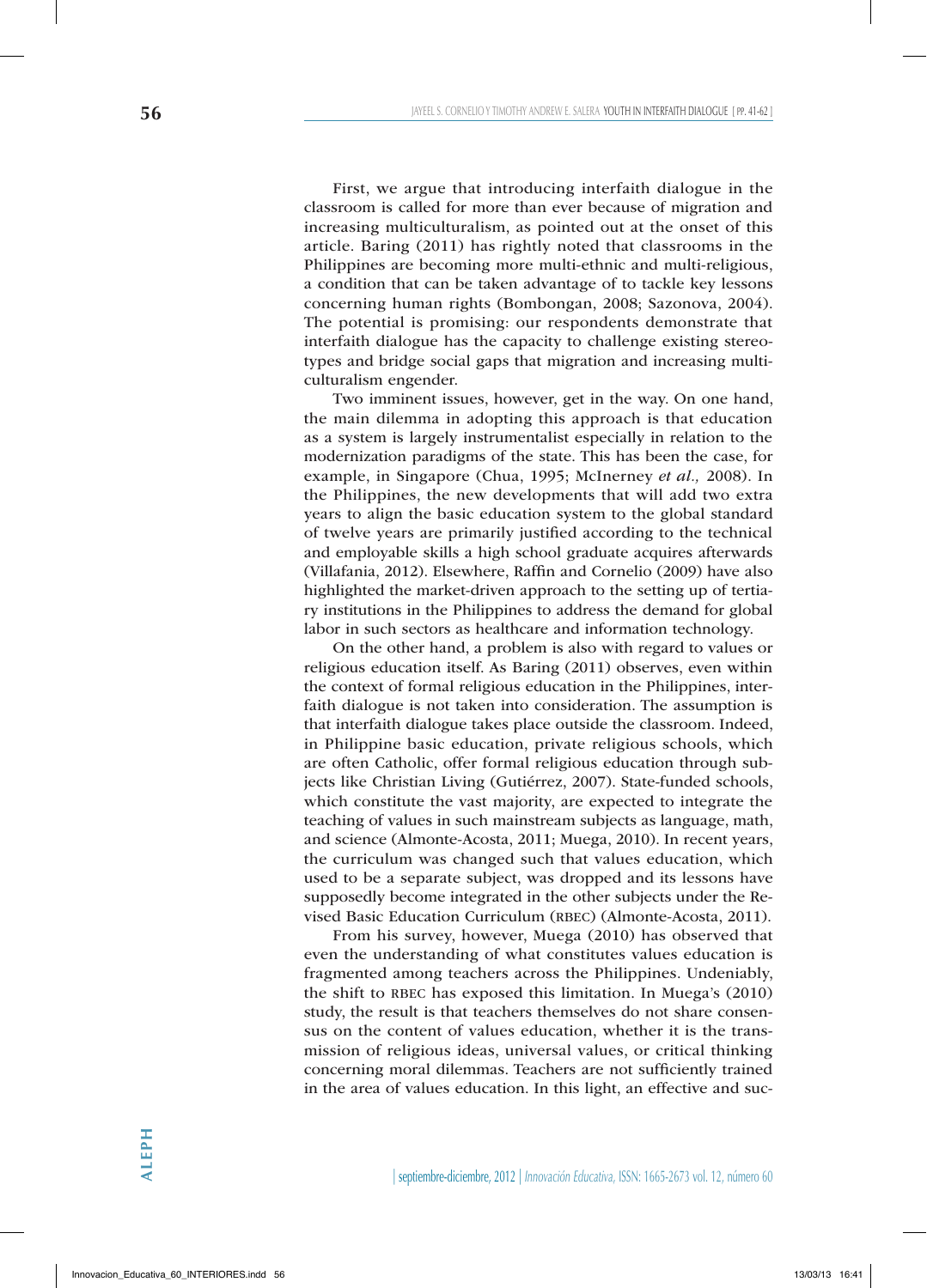First, we argue that introducing interfaith dialogue in the classroom is called for more than ever because of migration and increasing multiculturalism, as pointed out at the onset of this article. Baring (2011) has rightly noted that classrooms in the Philippines are becoming more multi-ethnic and multi-religious, a condition that can be taken advantage of to tackle key lessons concerning human rights (Bombongan, 2008; Sazonova, 2004). The potential is promising: our respondents demonstrate that interfaith dialogue has the capacity to challenge existing stereotypes and bridge social gaps that migration and increasing multiculturalism engender.

Two imminent issues, however, get in the way. On one hand, the main dilemma in adopting this approach is that education as a system is largely instrumentalist especially in relation to the modernization paradigms of the state. This has been the case, for example, in Singapore (Chua, 1995; McInerney *et al.,* 2008). In the Philippines, the new developments that will add two extra years to align the basic education system to the global standard of twelve years are primarily justified according to the technical and employable skills a high school graduate acquires afterwards (Villafania, 2012). Elsewhere, Raffin and Cornelio (2009) have also highlighted the market-driven approach to the setting up of tertiary institutions in the Philippines to address the demand for global labor in such sectors as healthcare and information technology.

On the other hand, a problem is also with regard to values or religious education itself. As Baring (2011) observes, even within the context of formal religious education in the Philippines, interfaith dialogue is not taken into consideration. The assumption is that interfaith dialogue takes place outside the classroom. Indeed, in Philippine basic education, private religious schools, which are often Catholic, offer formal religious education through subjects like Christian Living (Gutiérrez, 2007). State-funded schools, which constitute the vast majority, are expected to integrate the teaching of values in such mainstream subjects as language, math, and science (Almonte-Acosta, 2011; Muega, 2010). In recent years, the curriculum was changed such that values education, which used to be a separate subject, was dropped and its lessons have supposedly become integrated in the other subjects under the Revised Basic Education Curriculum (RBEC) (Almonte-Acosta, 2011).

From his survey, however, Muega (2010) has observed that even the understanding of what constitutes values education is fragmented among teachers across the Philippines. Undeniably, the shift to RBEC has exposed this limitation. In Muega's (2010) study, the result is that teachers themselves do not share consensus on the content of values education, whether it is the transmission of religious ideas, universal values, or critical thinking concerning moral dilemmas. Teachers are not sufficiently trained in the area of values education. In this light, an effective and suc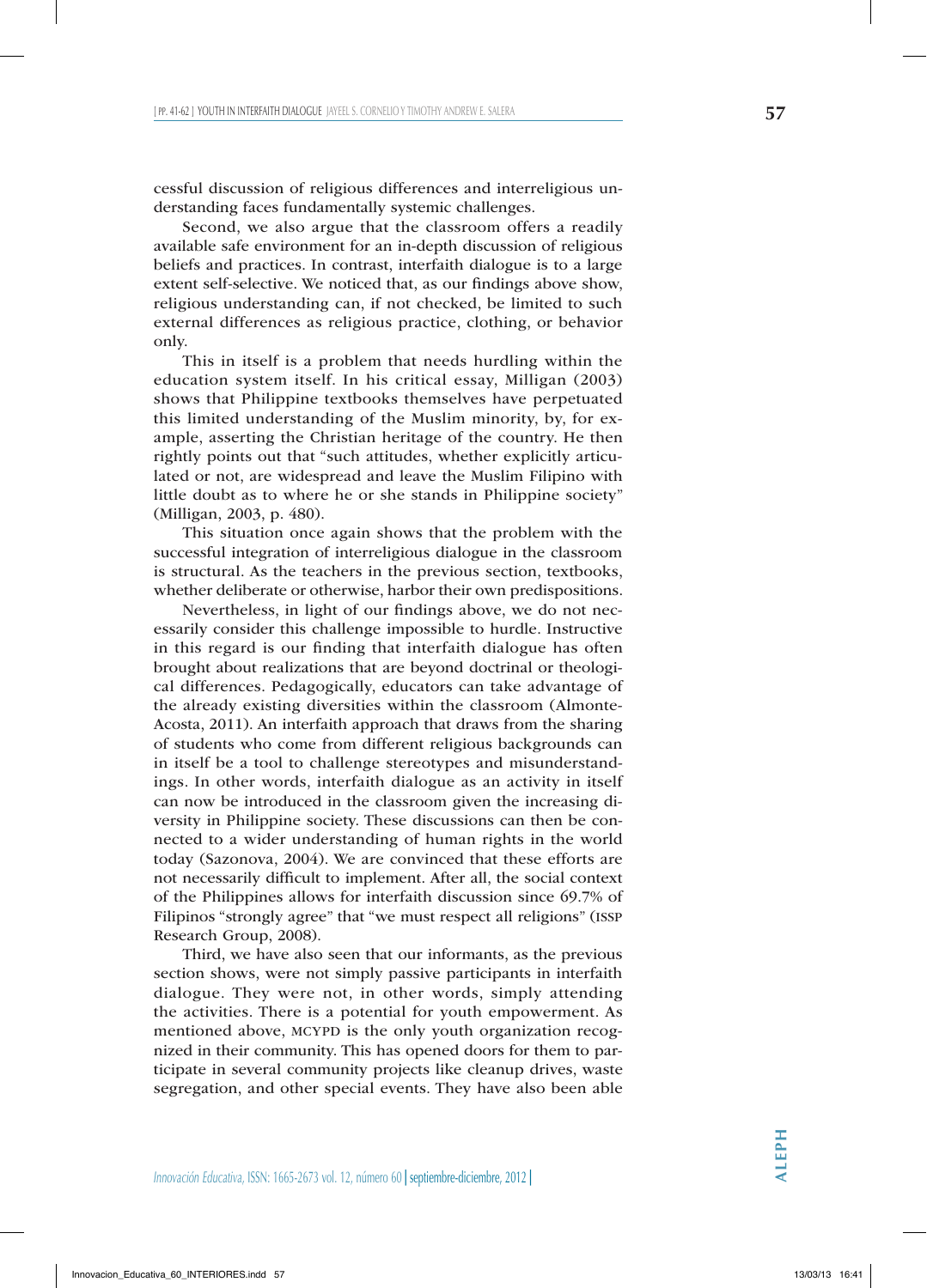cessful discussion of religious differences and interreligious understanding faces fundamentally systemic challenges.

Second, we also argue that the classroom offers a readily available safe environment for an in-depth discussion of religious beliefs and practices. In contrast, interfaith dialogue is to a large extent self-selective. We noticed that, as our findings above show, religious understanding can, if not checked, be limited to such external differences as religious practice, clothing, or behavior only.

This in itself is a problem that needs hurdling within the education system itself. In his critical essay, Milligan (2003) shows that Philippine textbooks themselves have perpetuated this limited understanding of the Muslim minority, by, for example, asserting the Christian heritage of the country. He then rightly points out that "such attitudes, whether explicitly articulated or not, are widespread and leave the Muslim Filipino with little doubt as to where he or she stands in Philippine society" (Milligan, 2003, p. 480).

This situation once again shows that the problem with the successful integration of interreligious dialogue in the classroom is structural. As the teachers in the previous section, textbooks, whether deliberate or otherwise, harbor their own predispositions.

Nevertheless, in light of our findings above, we do not necessarily consider this challenge impossible to hurdle. Instructive in this regard is our finding that interfaith dialogue has often brought about realizations that are beyond doctrinal or theological differences. Pedagogically, educators can take advantage of the already existing diversities within the classroom (Almonte-Acosta, 2011). An interfaith approach that draws from the sharing of students who come from different religious backgrounds can in itself be a tool to challenge stereotypes and misunderstandings. In other words, interfaith dialogue as an activity in itself can now be introduced in the classroom given the increasing diversity in Philippine society. These discussions can then be connected to a wider understanding of human rights in the world today (Sazonova, 2004). We are convinced that these efforts are not necessarily difficult to implement. After all, the social context of the Philippines allows for interfaith discussion since 69.7% of Filipinos "strongly agree" that "we must respect all religions" (issp Research Group, 2008).

Third, we have also seen that our informants, as the previous section shows, were not simply passive participants in interfaith dialogue. They were not, in other words, simply attending the activities. There is a potential for youth empowerment. As mentioned above, MCYPD is the only youth organization recognized in their community. This has opened doors for them to participate in several community projects like cleanup drives, waste segregation, and other special events. They have also been able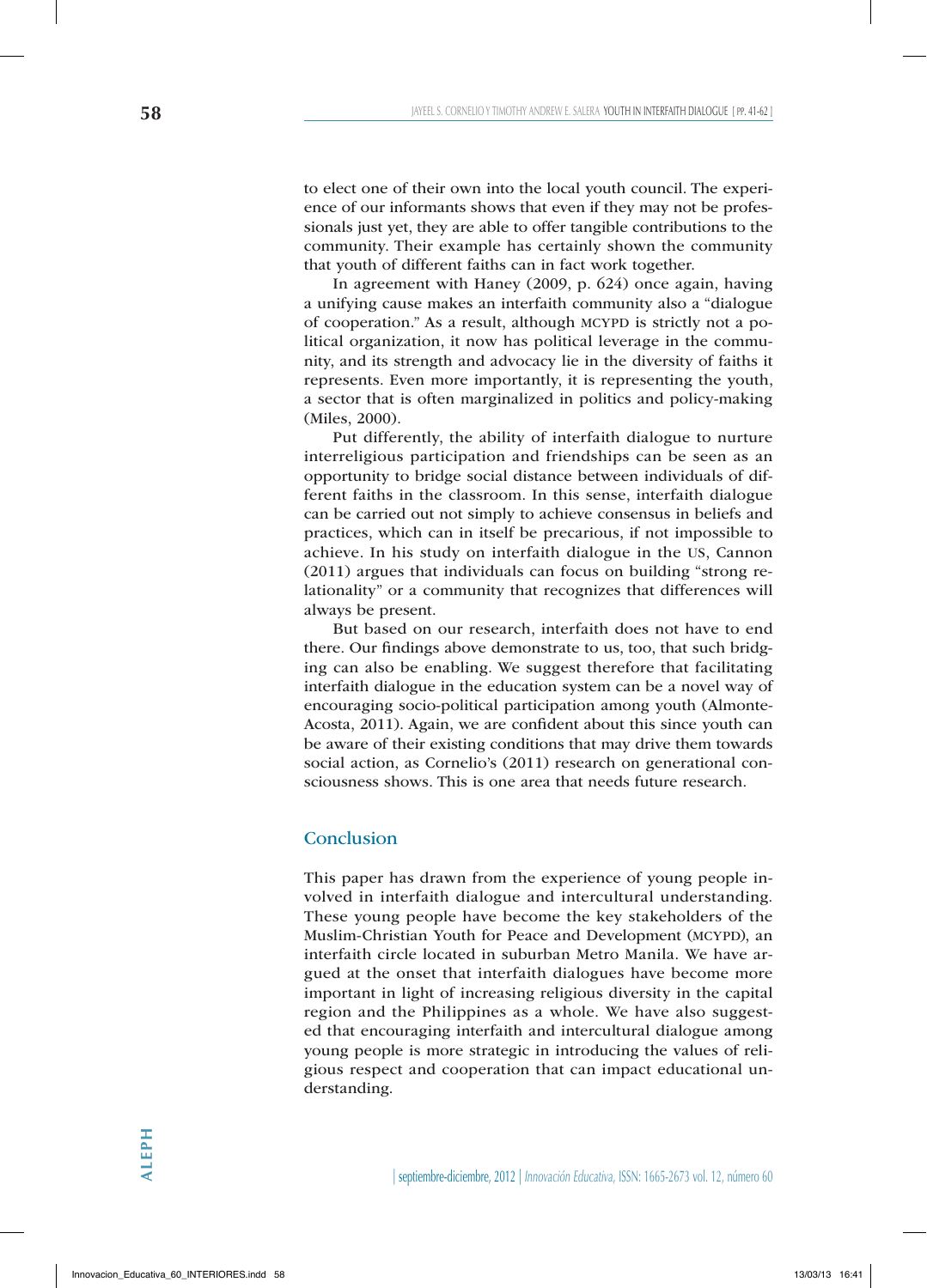to elect one of their own into the local youth council. The experience of our informants shows that even if they may not be professionals just yet, they are able to offer tangible contributions to the community. Their example has certainly shown the community that youth of different faiths can in fact work together.

In agreement with Haney (2009, p. 624) once again, having a unifying cause makes an interfaith community also a "dialogue of cooperation." As a result, although MCYPD is strictly not a political organization, it now has political leverage in the community, and its strength and advocacy lie in the diversity of faiths it represents. Even more importantly, it is representing the youth, a sector that is often marginalized in politics and policy-making (Miles, 2000).

Put differently, the ability of interfaith dialogue to nurture interreligious participation and friendships can be seen as an opportunity to bridge social distance between individuals of different faiths in the classroom. In this sense, interfaith dialogue can be carried out not simply to achieve consensus in beliefs and practices, which can in itself be precarious, if not impossible to achieve. In his study on interfaith dialogue in the US, Cannon (2011) argues that individuals can focus on building "strong relationality" or a community that recognizes that differences will always be present.

But based on our research, interfaith does not have to end there. Our findings above demonstrate to us, too, that such bridging can also be enabling. We suggest therefore that facilitating interfaith dialogue in the education system can be a novel way of encouraging socio-political participation among youth (Almonte-Acosta, 2011). Again, we are confident about this since youth can be aware of their existing conditions that may drive them towards social action, as Cornelio's (2011) research on generational consciousness shows. This is one area that needs future research.

# Conclusion

This paper has drawn from the experience of young people involved in interfaith dialogue and intercultural understanding. These young people have become the key stakeholders of the Muslim-Christian Youth for Peace and Development (MCYPD), an interfaith circle located in suburban Metro Manila. We have argued at the onset that interfaith dialogues have become more important in light of increasing religious diversity in the capital region and the Philippines as a whole. We have also suggested that encouraging interfaith and intercultural dialogue among young people is more strategic in introducing the values of religious respect and cooperation that can impact educational understanding.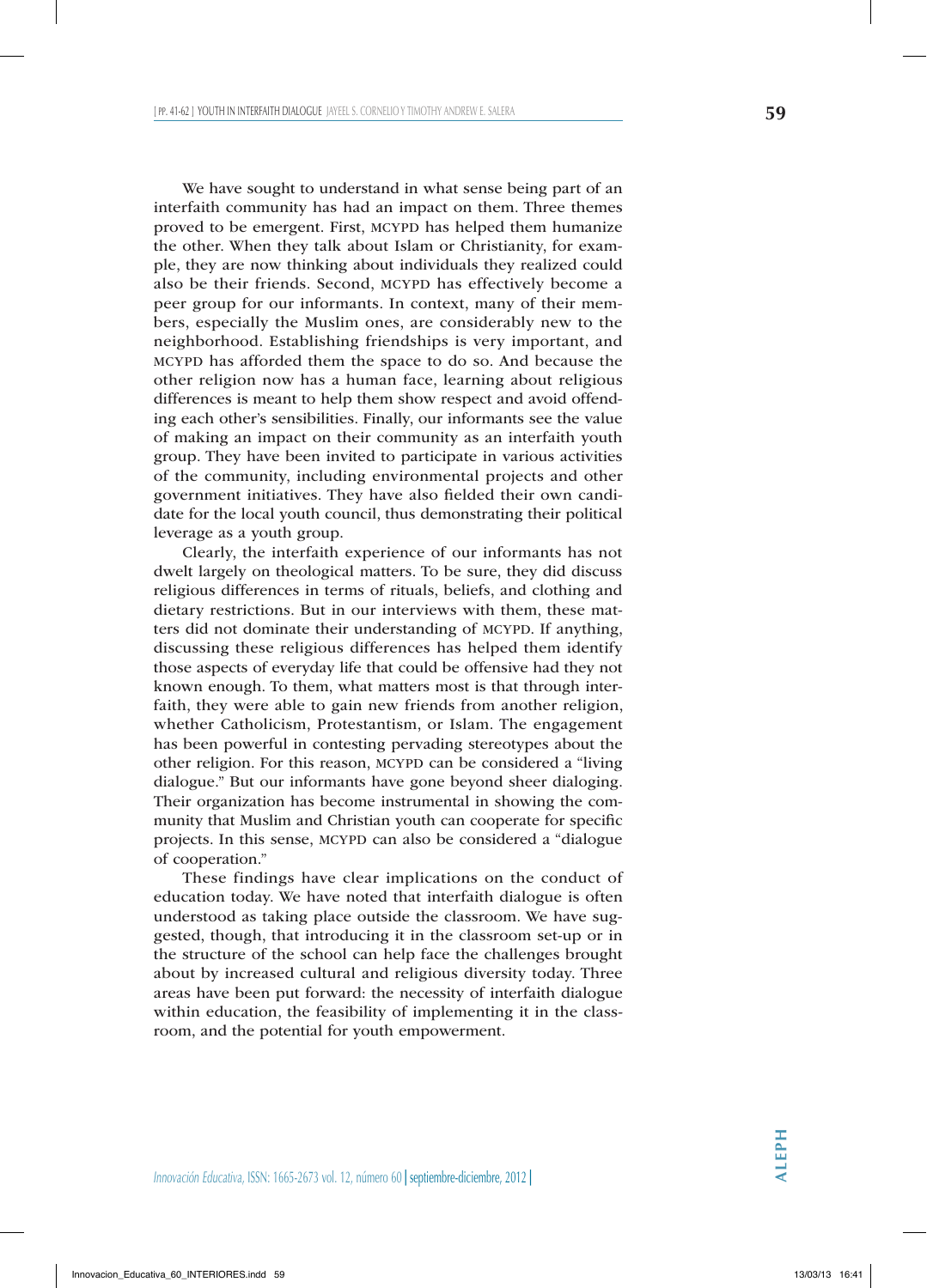We have sought to understand in what sense being part of an interfaith community has had an impact on them. Three themes proved to be emergent. First, MCYPD has helped them humanize the other. When they talk about Islam or Christianity, for example, they are now thinking about individuals they realized could also be their friends. Second, MCYPD has effectively become a peer group for our informants. In context, many of their members, especially the Muslim ones, are considerably new to the neighborhood. Establishing friendships is very important, and mcypd has afforded them the space to do so. And because the other religion now has a human face, learning about religious differences is meant to help them show respect and avoid offending each other's sensibilities. Finally, our informants see the value of making an impact on their community as an interfaith youth group. They have been invited to participate in various activities of the community, including environmental projects and other government initiatives. They have also fielded their own candidate for the local youth council, thus demonstrating their political leverage as a youth group.

Clearly, the interfaith experience of our informants has not dwelt largely on theological matters. To be sure, they did discuss religious differences in terms of rituals, beliefs, and clothing and dietary restrictions. But in our interviews with them, these matters did not dominate their understanding of MCYPD. If anything, discussing these religious differences has helped them identify those aspects of everyday life that could be offensive had they not known enough. To them, what matters most is that through interfaith, they were able to gain new friends from another religion, whether Catholicism, Protestantism, or Islam. The engagement has been powerful in contesting pervading stereotypes about the other religion. For this reason, MCYPD can be considered a "living" dialogue." But our informants have gone beyond sheer dialoging. Their organization has become instrumental in showing the community that Muslim and Christian youth can cooperate for specific projects. In this sense, MCYPD can also be considered a "dialogue of cooperation."

These findings have clear implications on the conduct of education today. We have noted that interfaith dialogue is often understood as taking place outside the classroom. We have suggested, though, that introducing it in the classroom set-up or in the structure of the school can help face the challenges brought about by increased cultural and religious diversity today. Three areas have been put forward: the necessity of interfaith dialogue within education, the feasibility of implementing it in the classroom, and the potential for youth empowerment.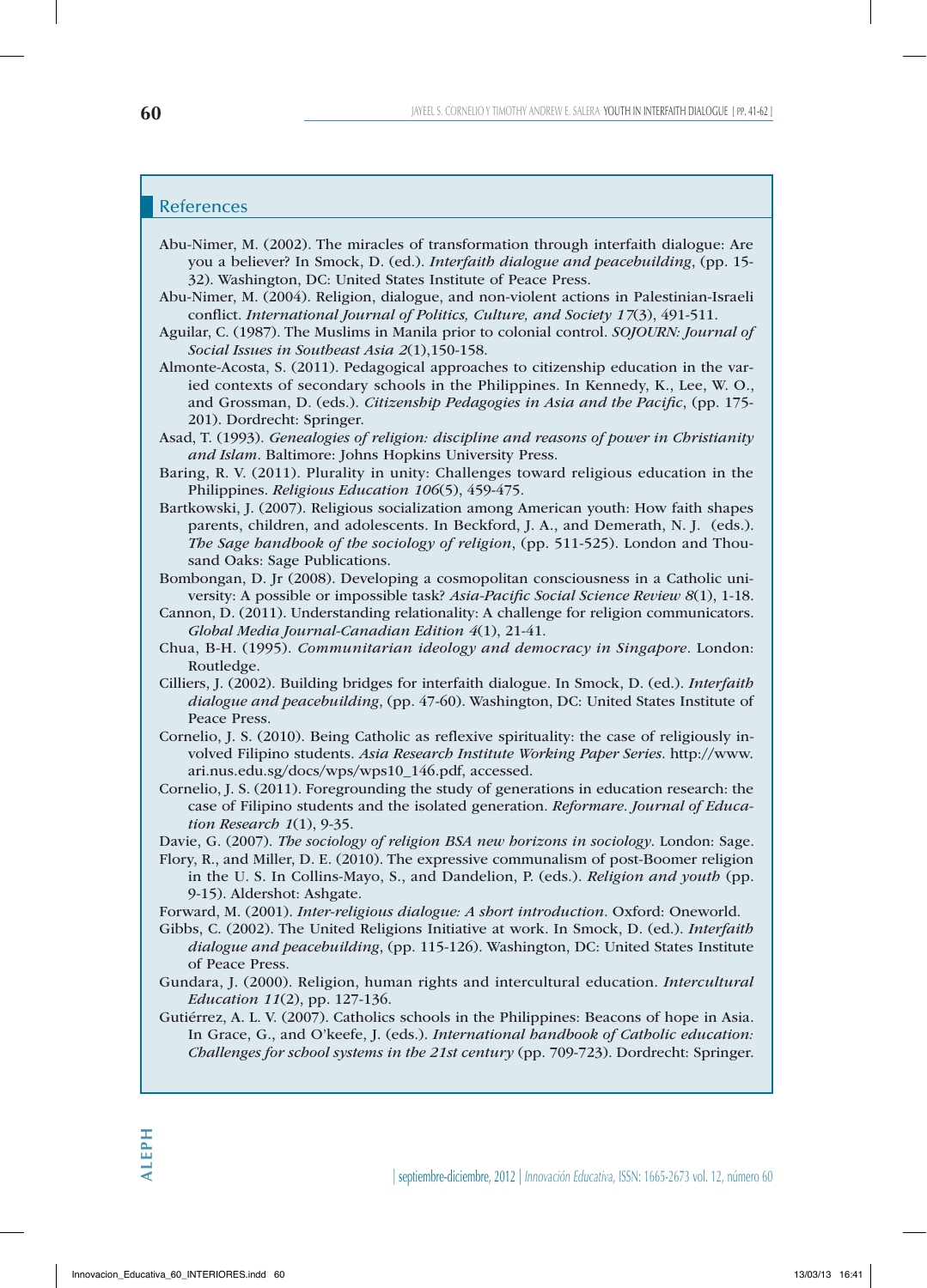# References

- Abu-Nimer, M. (2002). The miracles of transformation through interfaith dialogue: Are you a believer? In Smock, D. (ed.). *Interfaith dialogue and peacebuilding*, (pp. 15- 32). Washington, DC: United States Institute of Peace Press.
- Abu-Nimer, M. (2004). Religion, dialogue, and non-violent actions in Palestinian-Israeli conflict. *International Journal of Politics, Culture, and Society 17*(3), 491-511.
- Aguilar, C. (1987). The Muslims in Manila prior to colonial control. *SOJOURN: Journal of Social Issues in Southeast Asia 2*(1),150-158.
- Almonte-Acosta, S. (2011). Pedagogical approaches to citizenship education in the varied contexts of secondary schools in the Philippines. In Kennedy, K., Lee, W. O., and Grossman, D. (eds.). *Citizenship Pedagogies in Asia and the Pacific*, (pp. 175- 201). Dordrecht: Springer.
- Asad, T. (1993). *Genealogies of religion: discipline and reasons of power in Christianity and Islam*. Baltimore: Johns Hopkins University Press.
- Baring, R. V. (2011). Plurality in unity: Challenges toward religious education in the Philippines. *Religious Education 106*(5), 459-475.
- Bartkowski, J. (2007). Religious socialization among American youth: How faith shapes parents, children, and adolescents. In Beckford, J. A., and Demerath, N. J. (eds.). *The Sage handbook of the sociology of religion*, (pp. 511-525). London and Thousand Oaks: Sage Publications.
- Bombongan, D. Jr (2008). Developing a cosmopolitan consciousness in a Catholic university: A possible or impossible task? *Asia-Pacific Social Science Review 8*(1), 1-18.
- Cannon, D. (2011). Understanding relationality: A challenge for religion communicators. *Global Media Journal-Canadian Edition 4*(1), 21-41.
- Chua, B-H. (1995). *Communitarian ideology and democracy in Singapore*. London: Routledge.
- Cilliers, J. (2002). Building bridges for interfaith dialogue. In Smock, D. (ed.). *Interfaith dialogue and peacebuilding*, (pp. 47-60). Washington, DC: United States Institute of Peace Press.
- Cornelio, J. S. (2010). Being Catholic as reflexive spirituality: the case of religiously involved Filipino students. *Asia Research Institute Working Paper Series*. http://www. ari.nus.edu.sg/docs/wps/wps10\_146.pdf, accessed.
- Cornelio, J. S. (2011). Foregrounding the study of generations in education research: the case of Filipino students and the isolated generation. *Reformare. Journal of Education Research 1*(1), 9-35.
- Davie, G. (2007). *The sociology of religion BSA new horizons in sociology*. London: Sage.
- Flory, R., and Miller, D. E. (2010). The expressive communalism of post-Boomer religion in the U. S. In Collins-Mayo, S., and Dandelion, P. (eds.). *Religion and youth* (pp. 9-15). Aldershot: Ashgate.
- Forward, M. (2001). *Inter-religious dialogue: A short introduction*. Oxford: Oneworld.
- Gibbs, C. (2002). The United Religions Initiative at work. In Smock, D. (ed.). *Interfaith dialogue and peacebuilding*, (pp. 115-126). Washington, DC: United States Institute of Peace Press.
- Gundara, J. (2000). Religion, human rights and intercultural education. *Intercultural Education 11*(2), pp. 127-136.
- Gutiérrez, A. L. V. (2007). Catholics schools in the Philippines: Beacons of hope in Asia. In Grace, G., and O'keefe, J. (eds.). *International handbook of Catholic education: Challenges for school systems in the 21st century* (pp. 709-723). Dordrecht: Springer.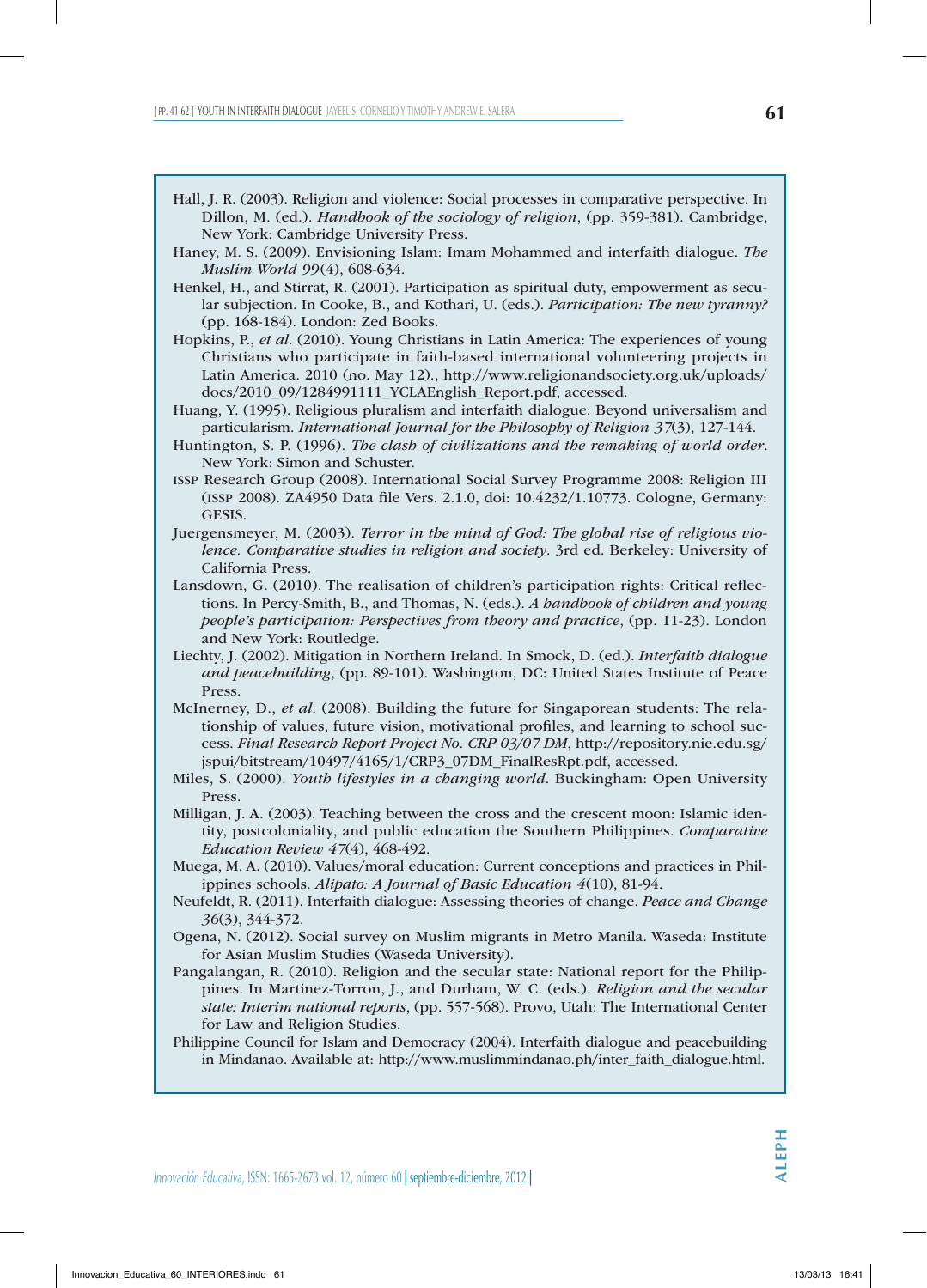- Haney, M. S. (2009). Envisioning Islam: Imam Mohammed and interfaith dialogue. *The Muslim World 99*(4), 608-634.
- Henkel, H., and Stirrat, R. (2001). Participation as spiritual duty, empowerment as secular subjection. In Cooke, B., and Kothari, U. (eds.). *Participation: The new tyranny?* (pp. 168-184). London: Zed Books.
- Hopkins, P., *et al*. (2010). Young Christians in Latin America: The experiences of young Christians who participate in faith-based international volunteering projects in Latin America. 2010 (no. May 12)., http://www.religionandsociety.org.uk/uploads/ docs/2010\_09/1284991111\_YCLAEnglish\_Report.pdf, accessed.
- Huang, Y. (1995). Religious pluralism and interfaith dialogue: Beyond universalism and particularism. *International Journal for the Philosophy of Religion 37*(3), 127-144.
- Huntington, S. P. (1996). *The clash of civilizations and the remaking of world order*. New York: Simon and Schuster.
- issp Research Group (2008). International Social Survey Programme 2008: Religion III (issp 2008). ZA4950 Data file Vers. 2.1.0, doi: 10.4232/1.10773. Cologne, Germany: GESIS.
- Juergensmeyer, M. (2003). *Terror in the mind of God: The global rise of religious violence. Comparative studies in religion and society*. 3rd ed. Berkeley: University of California Press.
- Lansdown, G. (2010). The realisation of children's participation rights: Critical reflections. In Percy-Smith, B., and Thomas, N. (eds.). *A handbook of children and young people's participation: Perspectives from theory and practice*, (pp. 11-23). London and New York: Routledge.
- Liechty, J. (2002). Mitigation in Northern Ireland. In Smock, D. (ed.). *Interfaith dialogue and peacebuilding*, (pp. 89-101). Washington, DC: United States Institute of Peace Press.
- McInerney, D., *et al*. (2008). Building the future for Singaporean students: The relationship of values, future vision, motivational profiles, and learning to school success. *Final Research Report Project No. CRP 03/07 DM*, http://repository.nie.edu.sg/ jspui/bitstream/10497/4165/1/CRP3\_07DM\_FinalResRpt.pdf, accessed.
- Miles, S. (2000). *Youth lifestyles in a changing world*. Buckingham: Open University Press.
- Milligan, J. A. (2003). Teaching between the cross and the crescent moon: Islamic identity, postcoloniality, and public education the Southern Philippines. *Comparative Education Review 47*(4), 468-492.
- Muega, M. A. (2010). Values/moral education: Current conceptions and practices in Philippines schools. *Alipato: A Journal of Basic Education 4*(10), 81-94.
- Neufeldt, R. (2011). Interfaith dialogue: Assessing theories of change. *Peace and Change 36*(3), 344-372.
- Ogena, N. (2012). Social survey on Muslim migrants in Metro Manila. Waseda: Institute for Asian Muslim Studies (Waseda University).
- Pangalangan, R. (2010). Religion and the secular state: National report for the Philippines. In Martinez-Torron, J., and Durham, W. C. (eds.). *Religion and the secular state: Interim national reports*, (pp. 557-568). Provo, Utah: The International Center for Law and Religion Studies.
- Philippine Council for Islam and Democracy (2004). Interfaith dialogue and peacebuilding in Mindanao. Available at: http://www.muslimmindanao.ph/inter\_faith\_dialogue.html.